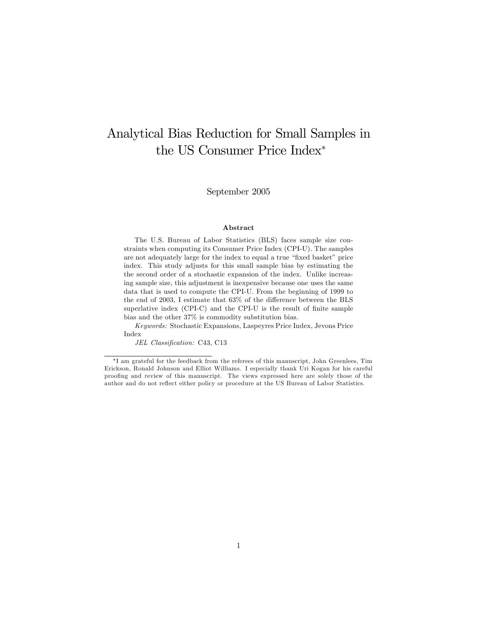# Analytical Bias Reduction for Small Samples in the US Consumer Price Index

September 2005

#### Abstract

The U.S. Bureau of Labor Statistics (BLS) faces sample size constraints when computing its Consumer Price Index (CPI-U). The samples are not adequately large for the index to equal a true "fixed basket" price index. This study adjusts for this small sample bias by estimating the the second order of a stochastic expansion of the index. Unlike increasing sample size, this adjustment is inexpensive because one uses the same data that is used to compute the CPI-U. From the beginning of 1999 to the end of 2003, I estimate that  $63\%$  of the difference between the BLS superlative index  $(CPI-C)$  and the CPI-U is the result of finite sample bias and the other 37% is commodity substitution bias.

Keywords: Stochastic Expansions, Laspeyres Price Index, Jevons Price Index

JEL Classification: C43, C13

I am grateful for the feedback from the referees of this manuscript, John Greenlees, Tim Erickson, Ronald Johnson and Elliot Williams. I especially thank Uri Kogan for his careful prooÖng and review of this manuscript. The views expressed here are solely those of the author and do not reflect either policy or procedure at the US Bureau of Labor Statistics.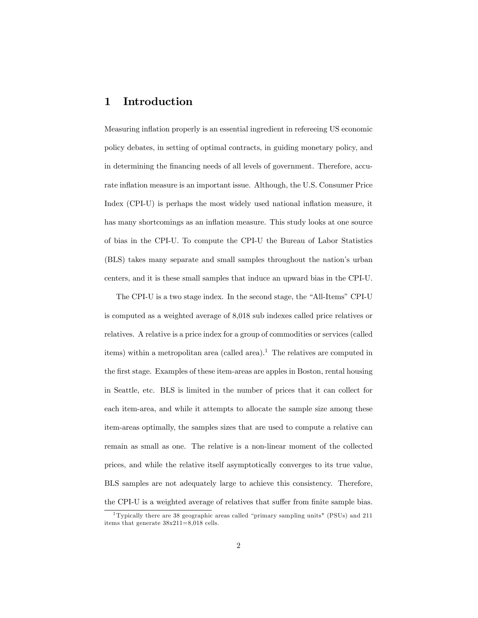# 1 Introduction

Measuring inflation properly is an essential ingredient in refereeing US economic policy debates, in setting of optimal contracts, in guiding monetary policy, and in determining the financing needs of all levels of government. Therefore, accurate inflation measure is an important issue. Although, the U.S. Consumer Price Index (CPI-U) is perhaps the most widely used national inflation measure, it has many shortcomings as an inflation measure. This study looks at one source of bias in the CPI-U. To compute the CPI-U the Bureau of Labor Statistics (BLS) takes many separate and small samples throughout the nation's urban centers, and it is these small samples that induce an upward bias in the CPI-U.

The CPI-U is a two stage index. In the second stage, the "All-Items" CPI-U is computed as a weighted average of 8,018 sub indexes called price relatives or relatives. A relative is a price index for a group of commodities or services (called items) within a metropolitan area (called area).<sup>1</sup> The relatives are computed in the first stage. Examples of these item-areas are apples in Boston, rental housing in Seattle, etc. BLS is limited in the number of prices that it can collect for each item-area, and while it attempts to allocate the sample size among these item-areas optimally, the samples sizes that are used to compute a relative can remain as small as one. The relative is a non-linear moment of the collected prices, and while the relative itself asymptotically converges to its true value, BLS samples are not adequately large to achieve this consistency. Therefore, the CPI-U is a weighted average of relatives that suffer from finite sample bias.

<sup>&</sup>lt;sup>1</sup> Typically there are 38 geographic areas called "primary sampling units" (PSUs) and 211 items that generate 38x211=8,018 cells.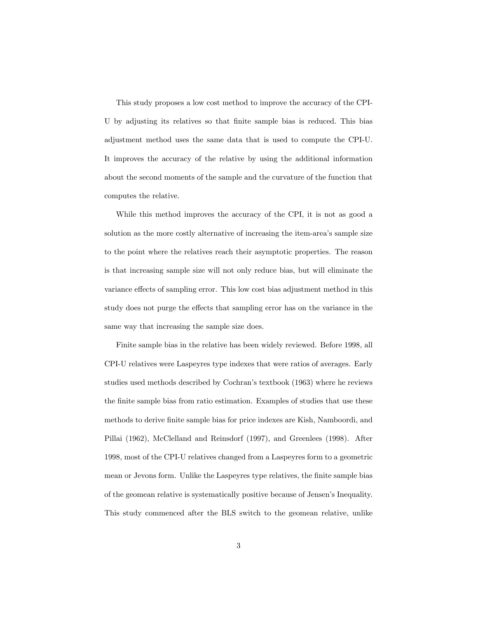This study proposes a low cost method to improve the accuracy of the CPI-U by adjusting its relatives so that finite sample bias is reduced. This bias adjustment method uses the same data that is used to compute the CPI-U. It improves the accuracy of the relative by using the additional information about the second moments of the sample and the curvature of the function that computes the relative.

While this method improves the accuracy of the CPI, it is not as good a solution as the more costly alternative of increasing the item-area's sample size to the point where the relatives reach their asymptotic properties. The reason is that increasing sample size will not only reduce bias, but will eliminate the variance effects of sampling error. This low cost bias adjustment method in this study does not purge the effects that sampling error has on the variance in the same way that increasing the sample size does.

Finite sample bias in the relative has been widely reviewed. Before 1998, all CPI-U relatives were Laspeyres type indexes that were ratios of averages. Early studies used methods described by Cochran's textbook (1963) where he reviews the Önite sample bias from ratio estimation. Examples of studies that use these methods to derive finite sample bias for price indexes are Kish, Namboordi, and Pillai (1962), McClelland and Reinsdorf (1997), and Greenlees (1998). After 1998, most of the CPI-U relatives changed from a Laspeyres form to a geometric mean or Jevons form. Unlike the Laspeyres type relatives, the finite sample bias of the geomean relative is systematically positive because of Jensenís Inequality. This study commenced after the BLS switch to the geomean relative, unlike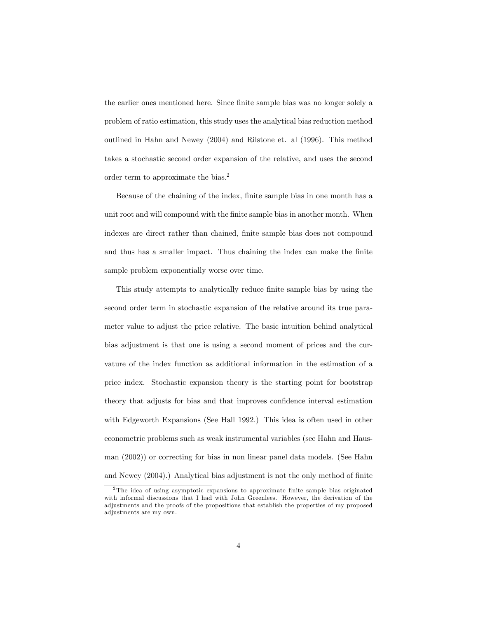the earlier ones mentioned here. Since finite sample bias was no longer solely a problem of ratio estimation, this study uses the analytical bias reduction method outlined in Hahn and Newey (2004) and Rilstone et. al (1996). This method takes a stochastic second order expansion of the relative, and uses the second order term to approximate the bias.<sup>2</sup>

Because of the chaining of the index, finite sample bias in one month has a unit root and will compound with the finite sample bias in another month. When indexes are direct rather than chained, Önite sample bias does not compound and thus has a smaller impact. Thus chaining the index can make the finite sample problem exponentially worse over time.

This study attempts to analytically reduce finite sample bias by using the second order term in stochastic expansion of the relative around its true parameter value to adjust the price relative. The basic intuition behind analytical bias adjustment is that one is using a second moment of prices and the curvature of the index function as additional information in the estimation of a price index. Stochastic expansion theory is the starting point for bootstrap theory that adjusts for bias and that improves confidence interval estimation with Edgeworth Expansions (See Hall 1992.) This idea is often used in other econometric problems such as weak instrumental variables (see Hahn and Hausman (2002)) or correcting for bias in non linear panel data models. (See Hahn and Newey  $(2004)$ .) Analytical bias adjustment is not the only method of finite

 $2$ The idea of using asymptotic expansions to approximate finite sample bias originated with informal discussions that I had with John Greenlees. However, the derivation of the adjustments and the proofs of the propositions that establish the properties of my proposed adjustments are my own.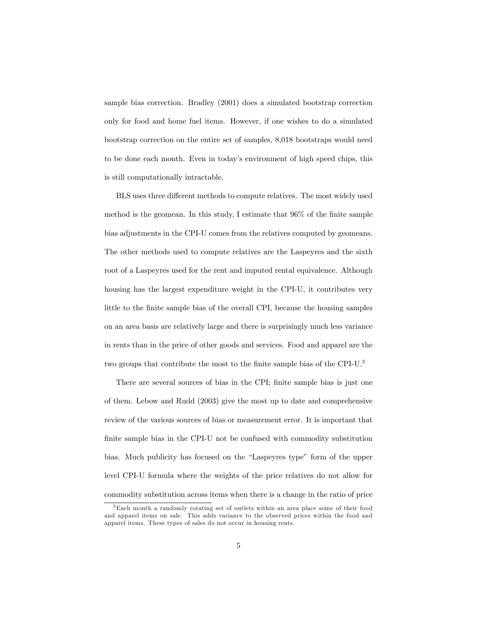sample bias correction. Bradley (2001) does a simulated bootstrap correction only for food and home fuel items. However, if one wishes to do a simulated bootstrap correction on the entire set of samples, 8,018 bootstraps would need to be done each month. Even in todayís environment of high speed chips, this is still computationally intractable.

BLS uses three different methods to compute relatives. The most widely used method is the geomean. In this study, I estimate that  $96\%$  of the finite sample bias adjustments in the CPI-U comes from the relatives computed by geomeans. The other methods used to compute relatives are the Laspeyres and the sixth root of a Laspeyres used for the rent and imputed rental equivalence. Although housing has the largest expenditure weight in the CPI-U, it contributes very little to the finite sample bias of the overall CPI, because the housing samples on an area basis are relatively large and there is surprisingly much less variance in rents than in the price of other goods and services. Food and apparel are the two groups that contribute the most to the finite sample bias of the CPI-U.<sup>3</sup>

There are several sources of bias in the CPI; finite sample bias is just one of them. Lebow and Rudd (2003) give the most up to date and comprehensive review of the various sources of bias or measurement error. It is important that finite sample bias in the CPI-U not be confused with commodity substitution bias. Much publicity has focused on the "Laspeyres type" form of the upper level CPI-U formula where the weights of the price relatives do not allow for commodity substitution across items when there is a change in the ratio of price

<sup>3</sup>Each month a randomly rotating set of outlets within an area place some of their food and apparel items on sale. This adds variance to the observed prices within the food and apparel items. These types of sales do not occur in housing rents.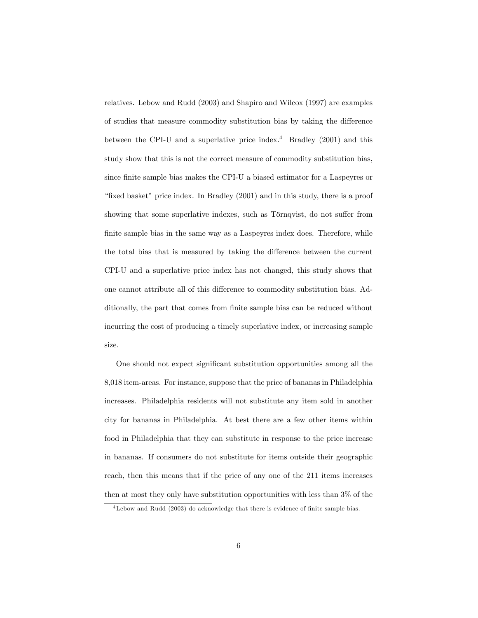relatives. Lebow and Rudd (2003) and Shapiro and Wilcox (1997) are examples of studies that measure commodity substitution bias by taking the difference between the CPI-U and a superlative price index.<sup>4</sup> Bradley (2001) and this study show that this is not the correct measure of commodity substitution bias, since finite sample bias makes the CPI-U a biased estimator for a Laspeyres or "fixed basket" price index. In Bradley  $(2001)$  and in this study, there is a proof showing that some superlative indexes, such as Törnqvist, do not suffer from finite sample bias in the same way as a Laspeyres index does. Therefore, while the total bias that is measured by taking the difference between the current CPI-U and a superlative price index has not changed, this study shows that one cannot attribute all of this difference to commodity substitution bias. Additionally, the part that comes from finite sample bias can be reduced without incurring the cost of producing a timely superlative index, or increasing sample size.

One should not expect significant substitution opportunities among all the 8,018 item-areas. For instance, suppose that the price of bananas in Philadelphia increases. Philadelphia residents will not substitute any item sold in another city for bananas in Philadelphia. At best there are a few other items within food in Philadelphia that they can substitute in response to the price increase in bananas. If consumers do not substitute for items outside their geographic reach, then this means that if the price of any one of the 211 items increases then at most they only have substitution opportunities with less than 3% of the

<sup>&</sup>lt;sup>4</sup>Lebow and Rudd (2003) do acknowledge that there is evidence of finite sample bias.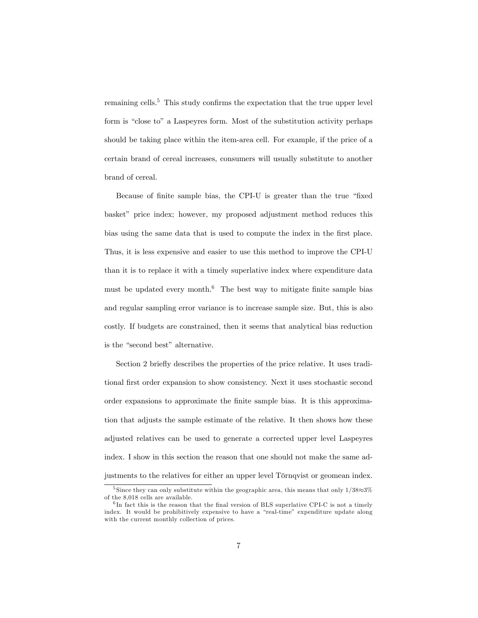remaining cells.<sup>5</sup> This study confirms the expectation that the true upper level form is "close to" a Laspeyres form. Most of the substitution activity perhaps should be taking place within the item-area cell. For example, if the price of a certain brand of cereal increases, consumers will usually substitute to another brand of cereal.

Because of finite sample bias, the CPI-U is greater than the true "fixed" basket" price index; however, my proposed adjustment method reduces this bias using the same data that is used to compute the index in the first place. Thus, it is less expensive and easier to use this method to improve the CPI-U than it is to replace it with a timely superlative index where expenditure data must be updated every month. $6$  The best way to mitigate finite sample bias and regular sampling error variance is to increase sample size. But, this is also costly. If budgets are constrained, then it seems that analytical bias reduction is the "second best" alternative.

Section 2 briefly describes the properties of the price relative. It uses traditional first order expansion to show consistency. Next it uses stochastic second order expansions to approximate the Önite sample bias. It is this approximation that adjusts the sample estimate of the relative. It then shows how these adjusted relatives can be used to generate a corrected upper level Laspeyres index. I show in this section the reason that one should not make the same adjustments to the relatives for either an upper level Törnqvist or geomean index.

 $^5$  Since they can only substitute within the geographic area, this means that only  $1/38{\approx}3\%$ of the 8,018 cells are available.

 ${}^{6}$ In fact this is the reason that the final version of BLS superlative CPI-C is not a timely index. It would be prohibitively expensive to have a "real-time" expenditure update along with the current monthly collection of prices.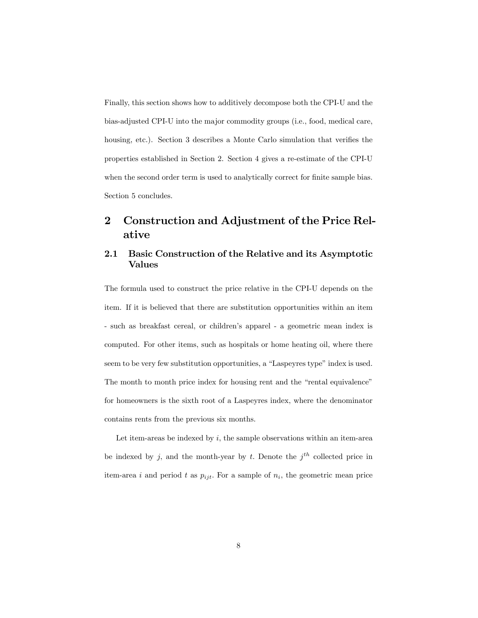Finally, this section shows how to additively decompose both the CPI-U and the bias-adjusted CPI-U into the major commodity groups (i.e., food, medical care, housing, etc.). Section 3 describes a Monte Carlo simulation that verifies the properties established in Section 2. Section 4 gives a re-estimate of the CPI-U when the second order term is used to analytically correct for finite sample bias. Section 5 concludes.

# 2 Construction and Adjustment of the Price Relative

### 2.1 Basic Construction of the Relative and its Asymptotic Values

The formula used to construct the price relative in the CPI-U depends on the item. If it is believed that there are substitution opportunities within an item - such as breakfast cereal, or children's apparel - a geometric mean index is computed. For other items, such as hospitals or home heating oil, where there seem to be very few substitution opportunities, a "Laspeyres type" index is used. The month to month price index for housing rent and the "rental equivalence" for homeowners is the sixth root of a Laspeyres index, where the denominator contains rents from the previous six months.

Let item-areas be indexed by  $i$ , the sample observations within an item-area be indexed by j, and the month-year by t. Denote the  $j<sup>th</sup>$  collected price in item-area i and period t as  $p_{ijt}$ . For a sample of  $n_i$ , the geometric mean price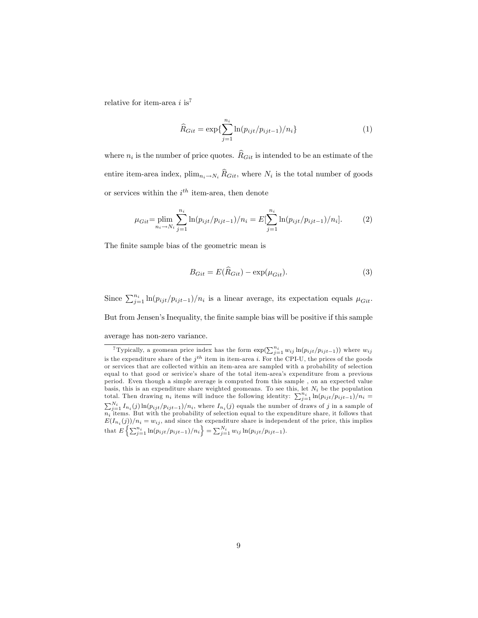relative for item-area  $i$  is<sup>7</sup>

$$
\widehat{R}_{Git} = \exp\{\sum_{j=1}^{n_i} \ln(p_{ijt}/p_{ijt-1})/n_i\}
$$
\n(1)

where  $n_i$  is the number of price quotes.  $R_{Git}$  is intended to be an estimate of the entire item-area index,  $\text{plim}_{n_i \to N_i} R_{Git}$ , where  $N_i$  is the total number of goods or services within the  $i^{th}$  item-area, then denote

$$
\mu_{Git} = \plim_{n_i \to N_i} \sum_{j=1}^{n_i} \ln(p_{ijt}/p_{ijt-1})/n_i = E[\sum_{j=1}^{n_i} \ln(p_{ijt}/p_{ijt-1})/n_i].
$$
 (2)

The finite sample bias of the geometric mean is

$$
B_{Git} = E(\hat{R}_{Git}) - \exp(\mu_{Git}).
$$
\n(3)

Since  $\sum_{j=1}^{n_i} \ln(p_{ijt}/p_{ijt-1})/n_i$  is a linear average, its expectation equals  $\mu_{Git}$ . But from Jensen's Inequality, the finite sample bias will be positive if this sample average has non-zero variance.

<sup>&</sup>lt;sup>7</sup>Typically, a geomean price index has the form  $\exp(\sum_{j=1}^{n_i} w_{ij} \ln(p_{ijt}/p_{ijt-1}))$  where  $w_{ij}$ is the expenditure share of the  $j<sup>th</sup>$  item in item-area i. For the CPI-U, the prices of the goods or services that are collected within an item-area are sampled with a probability of selection equal to that good or serivice's share of the total item-area's expenditure from a previous period. Even though a simple average is computed from this sample , on an expected value basis, this is an expenditure share weighted geomeans. To see this, let  $N_i$  be the population total. Then drawing  $n_i$  items will induce the following identity:  $\sum_{j=1}^{n_i} \ln(p_{ijt}/p_{ijt-1})/n_i =$  $\sum_{j=1}^{N_i} I_{n_i}(j) \ln(p_{ijt}/p_{ijt-1})/n_i$ , where  $I_{n_i}(j)$  equals the number of draws of j in a sample of  $n_i$  items. But with the probability of selection equal to the expenditure share, it follows that  $E(I_{n_i}(j))/n_i = w_{ij}$ , and since the expenditure share is independent of the price, this implies that  $E\left\{\sum_{j=1}^{n_i} \ln(p_{ijt}/p_{ijt-1})/n_i\right\} = \sum_{j=1}^{N_i} w_{ij} \ln(p_{ijt}/p_{ijt-1}).$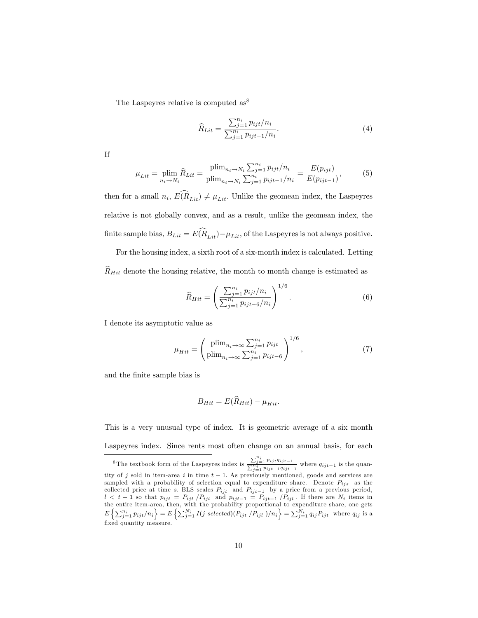The Laspeyres relative is computed as<sup>8</sup>

$$
\widehat{R}_{Lit} = \frac{\sum_{j=1}^{n_i} p_{ijt}/n_i}{\sum_{j=1}^{n_i} p_{ijt-1}/n_i}.
$$
\n(4)

If

$$
\mu_{Lit} = \min_{n_i \to N_i} \widehat{R}_{Lit} = \frac{\text{plim}_{n_i \to N_i} \sum_{j=1}^{n_i} p_{ijt}/n_i}{\text{plim}_{n_i \to N_i} \sum_{j=1}^{n_i} p_{ijt-1}/n_i} = \frac{E(p_{ijt})}{E(p_{ijt-1})},\tag{5}
$$

then for a small  $n_i$ ,  $E(R_{Lit}) \neq \mu_{Lit}$ . Unlike the geomean index, the Laspeyres relative is not globally convex, and as a result, unlike the geomean index, the finite sample bias,  $B_{Lit} = E(\widehat{R}_{Lit}) - \mu_{Lit}$ , of the Laspeyres is not always positive.

For the housing index, a sixth root of a six-month index is calculated. Letting  $\widehat{R}_{Hit}$  denote the housing relative, the month to month change is estimated as

$$
\widehat{R}_{Hit} = \left(\frac{\sum_{j=1}^{n_i} p_{ijt}/n_i}{\sum_{j=1}^{n_i} p_{ijt-6}/n_i}\right)^{1/6}.
$$
\n(6)

I denote its asymptotic value as

$$
\mu_{Hit} = \left(\frac{\text{plim}_{n_i \to \infty} \sum_{j=1}^{n_i} p_{ijt}}{\text{plim}_{n_i \to \infty} \sum_{j=1}^{n_i} p_{ijt-6}}\right)^{1/6},\tag{7}
$$

and the Önite sample bias is

$$
B_{Hit} = E(\hat{R}_{Hit}) - \mu_{Hit}.
$$

This is a very unusual type of index. It is geometric average of a six month Laspeyres index. Since rents most often change on an annual basis, for each

<sup>&</sup>lt;sup>8</sup>The textbook form of the Laspeyres index is  $\frac{\sum_{j=1}^{n_i} p_{ijt}q_{ijt-1}}{\sum_{j=1}^{n_i} p_{ijt-1}q_{ijt-1}}$  where  $q_{ijt-1}$  is the quantity of j sold in item-area i in time  $t-1$ . As previously mentioned, goods and services are sampled with a probability of selection equal to expenditure share. Denote  $P_{ijs}$  as the collected price at time s. BLS scales  $P_{ijt}$  and  $P_{ijt-1}$  by a price from a previous period,  $l < t - 1$  so that  $p_{ijt} = P_{ijt}/P_{ijl}$  and  $p_{ijt-1} = P_{ijt-1}/P_{ijl}$ . If there are  $N_i$  items in the entire item-area, then, with the probability proportional to expenditure share, one gets  $E\left\{\sum_{j=1}^{n_i} p_{ijt}/n_i\right\} = E\left\{\sum_{j=1}^{N_i} I(j \ selected)(P_{ijt}/P_{ijl})/n_i\right\} = \sum_{j=1}^{N_i} q_{ij} P_{ijt}$  where  $q_{ij}$  is a fixed quantity measure.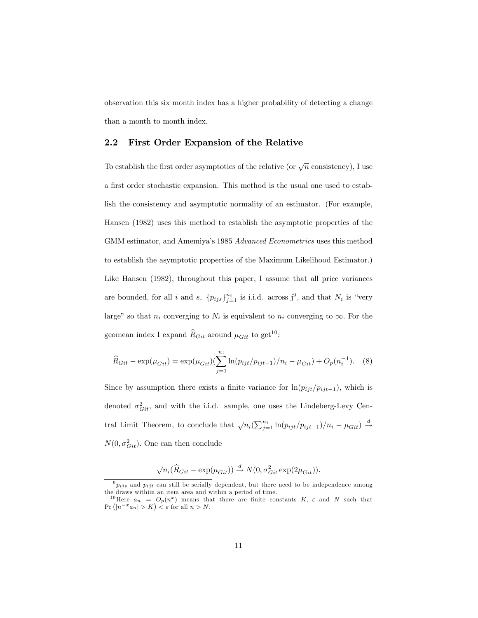observation this six month index has a higher probability of detecting a change than a month to month index.

#### 2.2 First Order Expansion of the Relative

To establish the first order asymptotics of the relative (or  $\sqrt{n}$  consistency), I use a first order stochastic expansion. This method is the usual one used to establish the consistency and asymptotic normality of an estimator. (For example, Hansen (1982) uses this method to establish the asymptotic properties of the GMM estimator, and Amemiya's 1985 Advanced Econometrics uses this method to establish the asymptotic properties of the Maximum Likelihood Estimator.) Like Hansen (1982), throughout this paper, I assume that all price variances are bounded, for all i and s,  ${p_{ijs}}_{j=1}^{n_i}$  is i.i.d. across  $j^9$ , and that  $N_i$  is "very large" so that  $n_i$  converging to  $N_i$  is equivalent to  $n_i$  converging to  $\infty$ . For the geomean index I expand  $\widehat{R}_{Git}$  around  $\mu_{Git}$  to get<sup>10</sup>:

$$
\widehat{R}_{Git} - \exp(\mu_{Git}) = \exp(\mu_{Git}) \left( \sum_{j=1}^{n_i} \ln(p_{ijt}/p_{ijt-1})/n_i - \mu_{Git} \right) + O_p(n_i^{-1}). \tag{8}
$$

Since by assumption there exists a finite variance for  $\ln(p_{ijt}/p_{ijt-1})$ , which is denoted  $\sigma_{Git}^2$ , and with the i.i.d. sample, one uses the Lindeberg-Levy Central Limit Theorem, to conclude that  $\sqrt{n_i}(\sum_{j=1}^{n_i} \ln(p_{ijt}/p_{ijt-1})/n_i - \mu_{Git}) \stackrel{d}{\rightarrow}$  $N(0, \sigma_{Git}^2)$ . One can then conclude

$$
\sqrt{n_i}(\widehat{R}_{Git} - \exp(\mu_{Git})) \xrightarrow{d} N(0, \sigma_{Git}^2 \exp(2\mu_{Git})).
$$

 $9 p_{ijs}$  and  $p_{ijt}$  can still be serially dependent, but there need to be independence among the draws withiin an item area and within a period of time.

<sup>&</sup>lt;sup>10</sup>Here  $a_n = O_p(n^x)$  means that there are finite constants K,  $\varepsilon$  and N such that  $Pr (|n^{-x}a_n| > K) < \varepsilon$  for all  $n > N$ .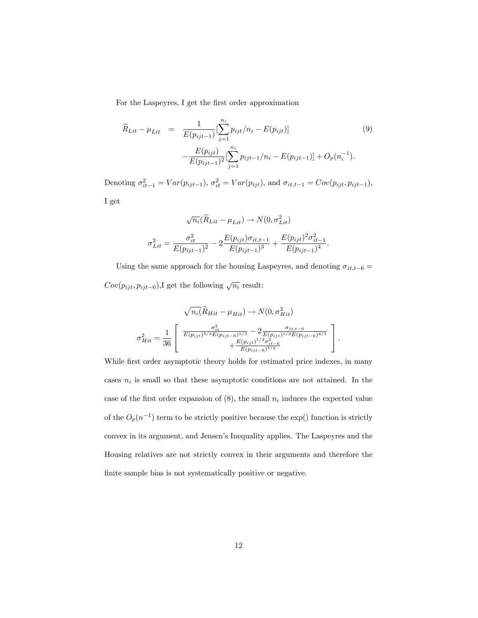For the Laspeyres, I get the first order approximation

$$
\widehat{R}_{Lit} - \mu_{Lit} = \frac{1}{E(p_{ijt-1})} \left[ \sum_{j=1}^{n_i} p_{ijt} / n_i - E(p_{ijt}) \right]
$$
\n
$$
- \frac{E(p_{ijt})}{E(p_{ijt-1})^2} \left[ \sum_{j=1}^{n_i} p_{ijt-1} / n_i - E(p_{ijt-1}) \right] + O_p(n_i^{-1}).
$$
\n(9)

Denoting  $\sigma_{it-1}^2 = Var(p_{ijt-1}), \sigma_{it}^2 = Var(p_{ijt}),$  and  $\sigma_{it,t-1} = Cov(p_{ijt}, p_{ijt-1}),$ 

I get

$$
\sqrt{n_i}(\widehat{R}_{Lit} - \mu_{Lit}) \to N(0, \sigma_{Lit}^2)
$$

$$
\sigma_{Lit}^2 = \frac{\sigma_{it}^2}{E(p_{ijt-1})^2} - 2\frac{E(p_{ijt})\sigma_{it,t-1}}{E(p_{ijt-1})^3} + \frac{E(p_{ijt})^2 \sigma_{it-1}^2}{E(p_{ijt-1})^4}
$$

:

Using the same approach for the housing Laspeyres, and denoting  $\sigma_{it,t-6} =$  $Cov(p_{ijt}, p_{ijt-6}),$ I get the following  $\sqrt{n_i}$  result:

$$
\sqrt{n_i(\hat{R}_{Hit} - \mu_{Hit})} \rightarrow N(0, \sigma_{Hit}^2)
$$

$$
\sigma_{Hit}^2 = \frac{1}{36} \left[ \frac{\frac{\sigma_{it}^2}{E(p_{ijt})^{5/3} E(p_{ijt-6})^{1/3}} - 2 \frac{\sigma_{it,t-6}}{E(p_{ijt})^{1/3} E(p_{ijt-6})^{4/3}} + \frac{E(p_{ijt})^{1/3} \sigma_{it-6}^2}{E(p_{ijt-6})^{7/3}} \right].
$$

While first order asymptotic theory holds for estimated price indexes, in many cases  $n_i$  is small so that these asymptotic conditions are not attained. In the case of the first order expansion of  $(8)$ , the small  $n_i$  induces the expected value of the  $O_p(n^{-1})$  term to be strictly positive because the exp() function is strictly convex in its argument, and Jensen's Inequality applies. The Laspeyres and the Housing relatives are not strictly convex in their arguments and therefore the finite sample bias is not systematically positive or negative.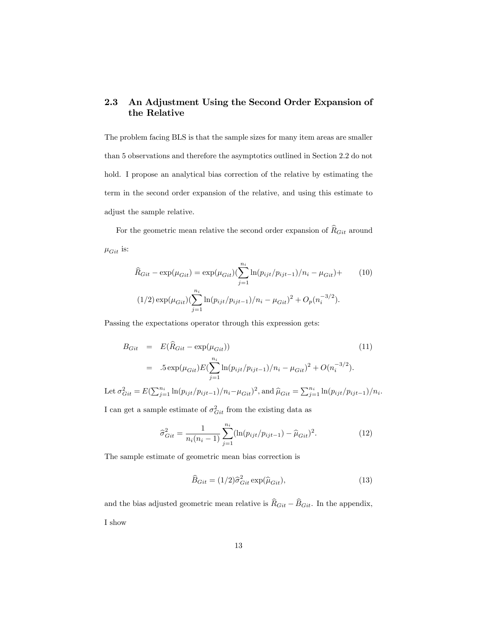### 2.3 An Adjustment Using the Second Order Expansion of the Relative

The problem facing BLS is that the sample sizes for many item areas are smaller than 5 observations and therefore the asymptotics outlined in Section 2.2 do not hold. I propose an analytical bias correction of the relative by estimating the term in the second order expansion of the relative, and using this estimate to adjust the sample relative.

For the geometric mean relative the second order expansion of  $\widehat{R}_{Git}$  around  $\mu_{Git}$  is:

$$
\hat{R}_{Git} - \exp(\mu_{Git}) = \exp(\mu_{Git}) \left( \sum_{j=1}^{n_i} \ln(p_{ijt}/p_{ijt-1})/n_i - \mu_{Git} \right) + \tag{10}
$$
\n
$$
(1/2) \exp(\mu_{Git}) \left( \sum_{j=1}^{n_i} \ln(p_{ijt}/p_{ijt-1})/n_i - \mu_{Git} \right)^2 + O_p(n_i^{-3/2}).
$$

Passing the expectations operator through this expression gets:

$$
B_{Git} = E(\hat{R}_{Git} - \exp(\mu_{Git}))
$$
\n
$$
= .5 \exp(\mu_{Git}) E(\sum_{j=1}^{n_i} \ln(p_{ijt}/p_{ijt-1})/n_i - \mu_{Git})^2 + O(n_i^{-3/2}).
$$
\n(11)

Let  $\sigma_{Git}^2 = E(\sum_{j=1}^{n_i} \ln(p_{ijt}/p_{ijt-1})/n_i - \mu_{Git})^2$ , and  $\hat{\mu}_{Git} = \sum_{j=1}^{n_i} \ln(p_{ijt}/p_{ijt-1})/n_i$ .

I can get a sample estimate of  $\sigma_{Git}^2$  from the existing data as

$$
\hat{\sigma}_{Git}^2 = \frac{1}{n_i(n_i - 1)} \sum_{j=1}^{n_i} (\ln(p_{ijt}/p_{ijt-1}) - \hat{\mu}_{Git})^2.
$$
 (12)

The sample estimate of geometric mean bias correction is

$$
\widehat{B}_{Git} = (1/2)\widehat{\sigma}_{Git}^2 \exp(\widehat{\mu}_{Git}),\tag{13}
$$

and the bias adjusted geometric mean relative is  $\widehat{R}_{Git} - \widehat{B}_{Git}$ . In the appendix, I show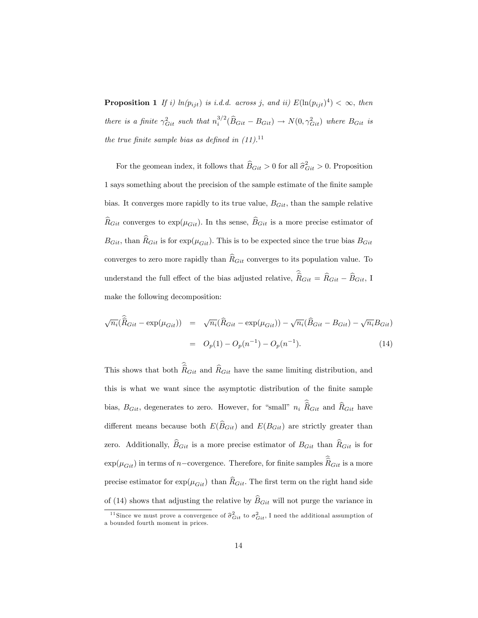**Proposition 1** If i)  $ln(p_{ijt})$  is i.d.d. across j, and ii)  $E(ln(p_{ijt})^4) < \infty$ , then there is a finite  $\gamma_{Git}^2$  such that  $n_i^{3/2}(\widehat{B}_{Git} - B_{Git}) \to N(0, \gamma_{Git}^2)$  where  $B_{Git}$  is the true finite sample bias as defined in  $(11).$ <sup>11</sup>

For the geomean index, it follows that  $\widehat{B}_{Git} > 0$  for all  $\widehat{\sigma}_{Git}^2 > 0$ . Proposition 1 says something about the precision of the sample estimate of the finite sample bias. It converges more rapidly to its true value,  $B_{Git}$ , than the sample relative  $\widehat{R}_{Git}$  converges to exp( $\mu_{Git}$ ). In ths sense,  $\widehat{B}_{Git}$  is a more precise estimator of  $B_{Git}$ , than  $\widehat{R}_{Git}$  is for exp( $\mu_{Git}$ ). This is to be expected since the true bias  $B_{Git}$ converges to zero more rapidly than  $\hat{R}_{Git}$  converges to its population value. To understand the full effect of the bias adjusted relative,  $\hat{R}_{Git} = \hat{R}_{Git} - \hat{B}_{Git}$ , I make the following decomposition:

$$
\sqrt{n_i}(\hat{R}_{Git} - \exp(\mu_{Git})) = \sqrt{n_i}(\hat{R}_{Git} - \exp(\mu_{Git})) - \sqrt{n_i}(\hat{B}_{Git} - B_{Git}) - \sqrt{n_i}B_{Git})
$$

$$
= O_p(1) - O_p(n^{-1}) - O_p(n^{-1}). \tag{14}
$$

This shows that both  $\hat{R}_{Git}$  and  $\hat{R}_{Git}$  have the same limiting distribution, and this is what we want since the asymptotic distribution of the finite sample bias,  $B_{Git}$ , degenerates to zero. However, for "small"  $n_i R_{Git}$  and  $R_{Git}$  have different means because both  $E(\widehat{B}_{Git})$  and  $E(B_{Git})$  are strictly greater than zero. Additionally,  $\widehat{B}_{Git}$  is a more precise estimator of  $B_{Git}$  than  $\widehat{R}_{Git}$  is for  $\exp(\mu_{Git})$  in terms of n-covergence. Therefore, for finite samples  $\widehat{R}_{Git}$  is a more precise estimator for  $\exp(\mu_{Git})$  than  $\hat{R}_{Git}$ . The first term on the right hand side of (14) shows that adjusting the relative by  $\widehat{B}_{Git}$  will not purge the variance in

<sup>&</sup>lt;sup>11</sup>Since we must prove a convergence of  $\hat{\sigma}_{Git}^2$  to  $\sigma_{Git}^2$ . I need the additional assumption of a bounded fourth moment in prices.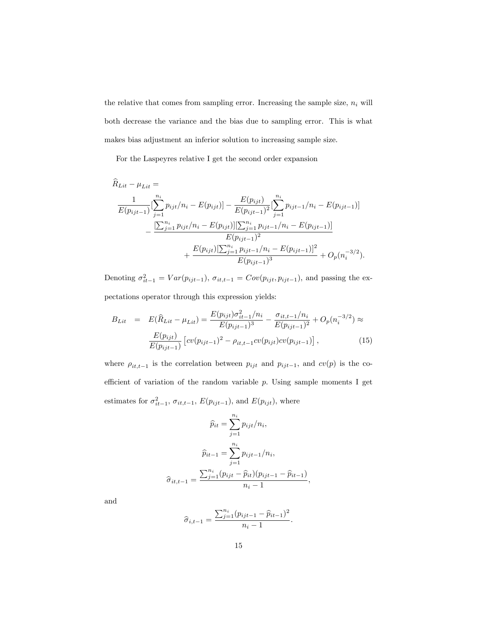the relative that comes from sampling error. Increasing the sample size,  $\boldsymbol{n}_i$  will both decrease the variance and the bias due to sampling error. This is what makes bias adjustment an inferior solution to increasing sample size.

For the Laspeyres relative I get the second order expansion

$$
\overline{R}_{Lit} - \mu_{Lit} =
$$
\n
$$
\frac{1}{E(p_{ijt-1})} \left[ \sum_{j=1}^{n_i} p_{ijt}/n_i - E(p_{ijt}) \right] - \frac{E(p_{ijt})}{E(p_{ijt-1})^2} \left[ \sum_{j=1}^{n_i} p_{ijt-1}/n_i - E(p_{ijt-1}) \right]
$$
\n
$$
- \frac{\left[ \sum_{j=1}^{n_i} p_{ijt}/n_i - E(p_{ijt}) \right] \left[ \sum_{j=1}^{n_i} p_{ijt-1}/n_i - E(p_{ijt-1}) \right]}{E(p_{ijt-1})^2}
$$
\n
$$
+ \frac{E(p_{ijt}) \left[ \sum_{j=1}^{n_i} p_{ijt-1}/n_i - E(p_{ijt-1}) \right]^2}{E(p_{ijt-1})^3} + O_p(n_i^{-3/2}).
$$

Denoting  $\sigma_{it-1}^2 = Var(p_{ijt-1}), \sigma_{it,t-1} = Cov(p_{ijt}, p_{ijt-1}),$  and passing the ex-

pectations operator through this expression yields:

$$
B_{Lit} = E(\hat{R}_{Lit} - \mu_{Lit}) = \frac{E(p_{ijt})\sigma_{it-1}^2/n_i}{E(p_{ijt-1})^3} - \frac{\sigma_{it,t-1}/n_i}{E(p_{ijt-1})^2} + O_p(n_i^{-3/2}) \approx \frac{E(p_{ijt})}{E(p_{ijt-1})} \left[ cv(p_{ijt-1})^2 - \rho_{it,t-1}cv(p_{ijt})cv(p_{ijt-1}) \right],
$$
\n(15)

where  $\rho_{it,t-1}$  is the correlation between  $p_{ijt}$  and  $p_{ijt-1}$ , and  $cv(p)$  is the coefficient of variation of the random variable  $p$ . Using sample moments I get estimates for  $\sigma_{it-1}^2$ ,  $\sigma_{it,t-1}$ ,  $E(p_{ijt-1})$ , and  $E(p_{ijt})$ , where

$$
\widehat{p}_{it} = \sum_{j=1}^{n_i} p_{ijt}/n_i,
$$

$$
\widehat{p}_{it-1} = \sum_{j=1}^{n_i} p_{ijt-1}/n_i,
$$

$$
\widehat{\sigma}_{it,t-1} = \frac{\sum_{j=1}^{n_i} (p_{ijt} - \widehat{p}_{it})(p_{ijt-1} - \widehat{p}_{it-1})}{n_i - 1},
$$

and

$$
\widehat{\sigma}_{i,t-1} = \frac{\sum_{j=1}^{n_i} (p_{ijt-1} - \widehat{p}_{it-1})^2}{n_i - 1}.
$$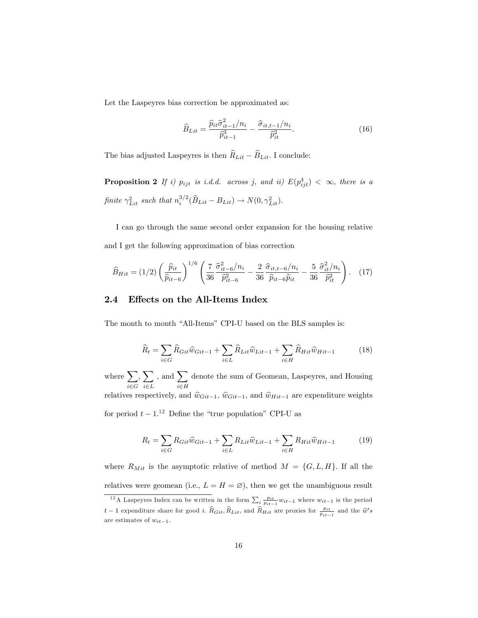Let the Laspeyres bias correction be approximated as:

$$
\widehat{B}_{Lit} = \frac{\widehat{p}_{it}\widehat{\sigma}_{it-1}^2 / n_i}{\widehat{p}_{it-1}^3} - \frac{\widehat{\sigma}_{it,t-1}/n_i}{\widehat{p}_{it}^2}.
$$
\n(16)

The bias adjusted Laspeyres is then  $\widehat R_{Lit} - \widehat B_{Lit}.$  I conclude:

**Proposition 2** If i)  $p_{ijt}$  is i.d.d. across j, and ii)  $E(p_{ijt}^4) < \infty$ , there is a finite  $\gamma_{Lit}^2$  such that  $n_i^{3/2}(\widehat{B}_{Lit} - B_{Lit}) \rightarrow N(0, \gamma_{Lit}^2)$ .

I can go through the same second order expansion for the housing relative and I get the following approximation of bias correction

$$
\widehat{B}_{Hit} = (1/2) \left( \frac{\widehat{p}_{it}}{\widehat{p}_{it-6}} \right)^{1/6} \left( \frac{7}{36} \frac{\widehat{\sigma}_{it-6}^2 / n_i}{\widehat{p}_{it-6}^2} - \frac{2}{36} \frac{\widehat{\sigma}_{it,t-6} / n_i}{\widehat{p}_{it-6} \widehat{p}_{it}} - \frac{5}{36} \frac{\widehat{\sigma}_{it}^2 / n_i}{\widehat{p}_{it}^2} \right). \tag{17}
$$

#### 2.4 Effects on the All-Items Index

The month to month "All-Items" CPI-U based on the BLS samples is:

$$
\widehat{R}_t = \sum_{i \in G} \widehat{R}_{Git} \widehat{w}_{Git-1} + \sum_{i \in L} \widehat{R}_{Lit} \widehat{w}_{Lit-1} + \sum_{i \in H} \widehat{R}_{Hit} \widehat{w}_{Hit-1}
$$
(18)

where  $\sum$  $i{\in}G$  $\sum$  $i\in L$ , and  $\sum$  $i \in H$ denote the sum of Geomean, Laspeyres, and Housing relatives respectively, and  $\hat{w}_{Git-1}$ ,  $\hat{w}_{Git-1}$ , and  $\hat{w}_{Hit-1}$  are expenditure weights for period  $t - 1$ <sup>12</sup> Define the "true population" CPI-U as

$$
R_t = \sum_{i \in G} R_{Git} \hat{w}_{Git-1} + \sum_{i \in L} R_{Lit} \hat{w}_{Lit-1} + \sum_{i \in H} R_{Hit} \hat{w}_{Hit-1}
$$
(19)

where  $R_{Mit}$  is the asymptotic relative of method  $M = \{G, L, H\}$ . If all the relatives were geomean (i.e.,  $L = H = \emptyset$ ), then we get the unambiguous result

<sup>&</sup>lt;sup>12</sup>A Laspeyres Index can be written in the form  $\sum_{i} \frac{p_{it}}{p_{it-1}} w_{it-1}$  where  $w_{it-1}$  is the period  $t-1$  expenditure share for good *i*.  $\widehat{R}_{Git}$ ,  $\widehat{R}_{Lit}$ , and  $\widehat{R}_{Hit}$  are proxies for  $\frac{pi}{p_{it-1}}$  and the  $\widehat{w}'s$ are estimates of  $w_{it-1}$ .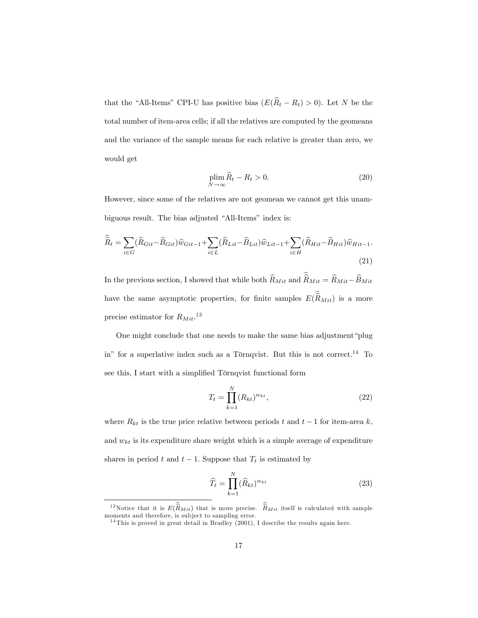that the "All-Items" CPI-U has positive bias  $(E(\hat{R}_t - R_t) > 0)$ . Let N be the total number of item-area cells; if all the relatives are computed by the geomeans and the variance of the sample means for each relative is greater than zero, we would get

$$
\plim_{N \to \infty} \widehat{R}_t - R_t > 0. \tag{20}
$$

However, since some of the relatives are not geomean we cannot get this unambiguous result. The bias adjusted "All-Items" index is:

$$
\widehat{\widehat{R}}_{t} = \sum_{i \in G} (\widehat{R}_{Git} - \widehat{B}_{Git}) \widehat{w}_{Git-1} + \sum_{i \in L} (\widehat{R}_{Lit} - \widehat{B}_{Lit}) \widehat{w}_{Lit-1} + \sum_{i \in H} (\widehat{R}_{Hit} - \widehat{B}_{Hit}) \widehat{w}_{Hit-1}.
$$
\n(21)

In the previous section, I showed that while both  $\widehat R_{Mit}$  and  $\widehat{\widehat R}_{Mit}=\widehat R_{Mit}-\widehat B_{Mit}$ have the same asymptotic properties, for finite samples  $E(R_{Mit})$  is a more precise estimator for  $R_{Mit}.$ <sup>13</sup>

One might conclude that one needs to make the same bias adjustment "plug" in" for a superlative index such as a Törnqvist. But this is not correct.<sup>14</sup> To see this, I start with a simplified Törnqvist functional form

$$
T_t = \prod_{k=1}^{N} (R_{kt})^{w_{kt}},
$$
\n(22)

where  $R_{kt}$  is the true price relative between periods t and  $t-1$  for item-area k, and  $w_{kt}$  is its expenditure share weight which is a simple average of expenditure shares in period t and  $t-1$ . Suppose that  $T_t$  is estimated by

$$
\widehat{T}_t = \prod_{k=1}^N (\widehat{R}_{kt})^{w_{kt}} \tag{23}
$$

<sup>&</sup>lt;sup>13</sup>Notice that it is  $E(\hat{R}_{Mit})$  that is more precise.  $\hat{R}_{Mit}$  itself is calculated with sample moments and therefore, is subject to sampling error.

 $14$ This is proved in great detail in Bradley (2001), I describe the results again here.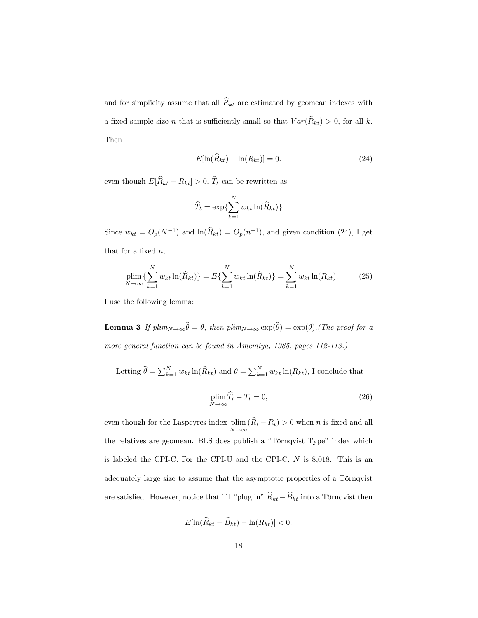and for simplicity assume that all  $\widehat{R}_{kt}$  are estimated by geomean indexes with a fixed sample size *n* that is sufficiently small so that  $Var(\widehat{R}_{kt}) > 0$ , for all k. Then

$$
E[\ln(\widehat{R}_{kt}) - \ln(R_{kt})] = 0. \tag{24}
$$

even though  $E[\widehat{R}_{kt} - R_{kt}] > 0$ .  $\widehat{T}_t$  can be rewritten as

$$
\widehat{T}_t = \exp\{\sum_{k=1}^N w_{kt} \ln(\widehat{R}_{kt})\}
$$

Since  $w_{kt} = O_p(N^{-1})$  and  $\ln(\widehat{R}_{kt}) = O_p(n^{-1})$ , and given condition (24), I get that for a fixed  $n$ ,

$$
\plim_{N \to \infty} \{ \sum_{k=1}^{N} w_{kt} \ln(\widehat{R}_{kt}) \} = E \{ \sum_{k=1}^{N} w_{kt} \ln(\widehat{R}_{kt}) \} = \sum_{k=1}^{N} w_{kt} \ln(R_{kt}). \tag{25}
$$

I use the following lemma:

**Lemma 3** If  $plim_{N\to\infty}\theta = \theta$ , then  $plim_{N\to\infty}\exp(\theta) = \exp(\theta)$ . (The proof for a more general function can be found in Amemiya, 1985, pages 112-113.)

Letting 
$$
\hat{\theta} = \sum_{k=1}^{N} w_{kt} \ln(\hat{R}_{kt})
$$
 and  $\theta = \sum_{k=1}^{N} w_{kt} \ln(R_{kt})$ , I conclude that

$$
\plim_{N \to \infty} \widehat{T}_t - T_t = 0,\tag{26}
$$

even though for the Laspeyres index plim  $\lim_{N \to \infty} (R_t - R_t) > 0$  when *n* is fixed and all the relatives are geomean. BLS does publish a "Törnqvist Type" index which is labeled the CPI-C. For the CPI-U and the CPI-C, N is 8,018. This is an adequately large size to assume that the asymptotic properties of a Törnqvist are satisfied. However, notice that if I "plug in"  $\widehat{R}_{kt} - \widehat{B}_{kt}$  into a Törnqvist then

$$
E[\ln(\widehat{R}_{kt} - \widehat{B}_{kt}) - \ln(R_{kt})] < 0.
$$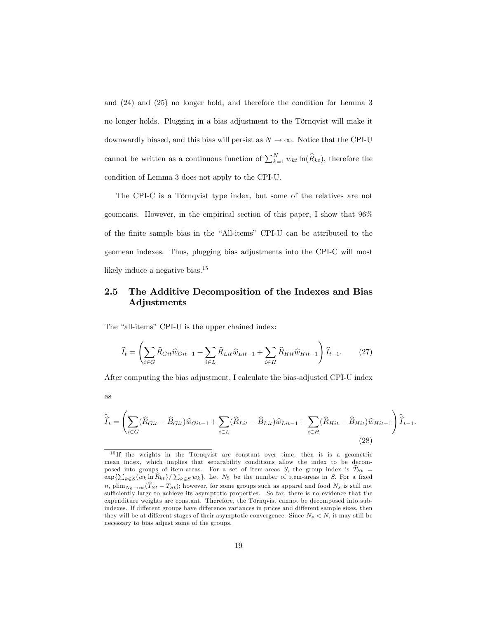and (24) and (25) no longer hold, and therefore the condition for Lemma 3 no longer holds. Plugging in a bias adjustment to the Törnqvist will make it downwardly biased, and this bias will persist as  $N \to \infty$ . Notice that the CPI-U cannot be written as a continuous function of  $\sum_{k=1}^{N} w_{kt} \ln(\widehat{R}_{kt})$ , therefore the condition of Lemma 3 does not apply to the CPI-U.

The CPI-C is a Törnqvist type index, but some of the relatives are not geomeans. However, in the empirical section of this paper, I show that 96% of the finite sample bias in the "All-items" CPI-U can be attributed to the geomean indexes. Thus, plugging bias adjustments into the CPI-C will most likely induce a negative bias.<sup>15</sup>

### 2.5 The Additive Decomposition of the Indexes and Bias Adjustments

The "all-items" CPI-U is the upper chained index:

$$
\widehat{I}_t = \left(\sum_{i \in G} \widehat{R}_{Git} \widehat{w}_{Git-1} + \sum_{i \in L} \widehat{R}_{Lit} \widehat{w}_{Lit-1} + \sum_{i \in H} \widehat{R}_{Hit} \widehat{w}_{Hit-1}\right) \widehat{I}_{t-1}.
$$
 (27)

After computing the bias adjustment, I calculate the bias-adjusted CPI-U index

as

$$
\widehat{\widehat{I}}_t = \left(\sum_{i \in G} (\widehat{R}_{Git} - \widehat{B}_{Git}) \widehat{w}_{Git-1} + \sum_{i \in L} (\widehat{R}_{Lit} - \widehat{B}_{Lit}) \widehat{w}_{Lit-1} + \sum_{i \in H} (\widehat{R}_{Hit} - \widehat{B}_{Hit}) \widehat{w}_{Hit-1}\right) \widehat{\widehat{I}}_{t-1}.
$$
\n(28)

 $15$  If the weights in the Törnqvist are constant over time, then it is a geometric mean index, which implies that separability conditions allow the index to be decomposed into groups of item-areas. For a set of item-areas S, the group index is  $\hat{T}_{St}$  =  $\exp{\sum_{k\in S}(w_k \ln \widehat{R}_{kt})}/\sum_{k\in S}w_k$ . Let  $N_S$  be the number of item-areas in S. For a fixed n, plim $N_S \to \infty (\hat{T}_{St} - T_{St})$ ; however, for some groups such as apparel and food  $N_s$  is still not sufficiently large to achieve its asymptotic properties. So far, there is no evidence that the expenditure weights are constant. Therefore, the Törnqvist cannot be decomposed into subindexes. If different groups have difference variances in prices and different sample sizes, then they will be at different stages of their asymptotic convergence. Since  $N_s < N$ , it may still be necessary to bias adjust some of the groups.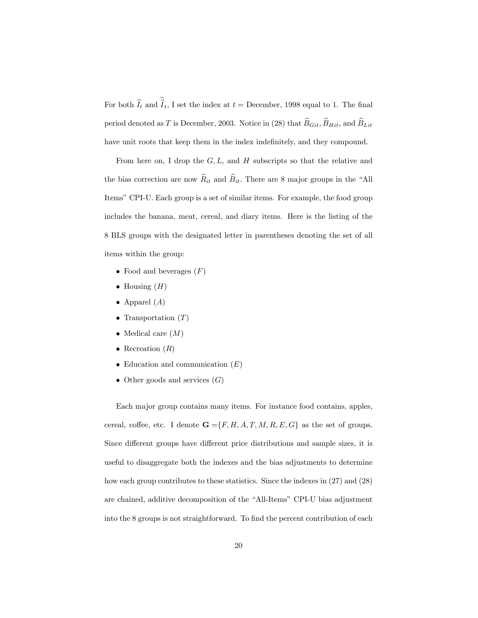For both  $I_t$  and  $I_t$ , I set the index at  $t =$  December, 1998 equal to 1. The final period denoted as T is December, 2003. Notice in (28) that  $\widehat{B}_{Git}$ ,  $\widehat{B}_{Hit}$ , and  $\widehat{B}_{Lit}$ have unit roots that keep them in the index indefinitely, and they compound.

From here on, I drop the  $G, L$ , and H subscripts so that the relative and the bias correction are now  $\widehat{R}_{it}$  and  $\widehat{B}_{it}$ . There are 8 major groups in the "All Items" CPI-U. Each group is a set of similar items. For example, the food group includes the banana, meat, cereal, and diary items. Here is the listing of the 8 BLS groups with the designated letter in parentheses denoting the set of all items within the group:

- Food and beverages  $(F)$
- $\bullet$  Housing  $(H)$
- Apparel  $(A)$
- Transportation  $(T)$
- Medical care  $(M)$
- Recreation  $(R)$
- Education and communication  $(E)$
- Other goods and services  $(G)$

Each major group contains many items. For instance food contains, apples, cereal, coffee, etc. I denote  $\mathbf{G} = \{F, H, A, T, M, R, E, G\}$  as the set of groups. Since different groups have different price distributions and sample sizes, it is useful to disaggregate both the indexes and the bias adjustments to determine how each group contributes to these statistics. Since the indexes in  $(27)$  and  $(28)$ are chained, additive decomposition of the "All-Items" CPI-U bias adjustment into the 8 groups is not straightforward. To find the percent contribution of each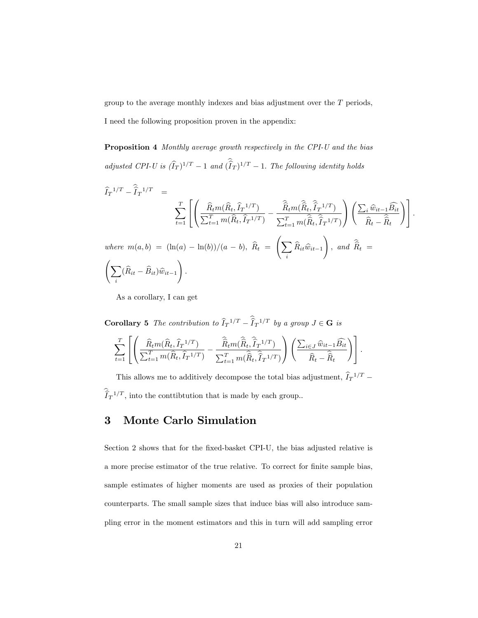group to the average monthly indexes and bias adjustment over the T periods,

I need the following proposition proven in the appendix:

Proposition 4 Monthly average growth respectively in the CPI-U and the bias adjusted CPI-U is  $(\hat{I}_T)^{1/T} - 1$  and  $(\hat{I}_T)^{1/T} - 1$ . The following identity holds

$$
\hat{I}_T^{1/T} - \hat{I}_T^{1/T} = \n\sum_{t=1}^T \left[ \left( \frac{\hat{R}_t m(\hat{R}_t, \hat{I}_T^{1/T})}{\sum_{t=1}^T m(\hat{R}_t, \hat{I}_T^{1/T})} - \frac{\hat{\hat{R}}_t m(\hat{\hat{R}}_t, \hat{\hat{I}}_T^{1/T})}{\sum_{t=1}^T m(\hat{\hat{R}}_t, \hat{\hat{I}}_T^{1/T})} \right) \left( \frac{\sum_i \hat{w}_{it-1} \hat{B}_{it}}{\hat{R}_t - \hat{\hat{R}}_t} \right) \right].
$$
\nwhere  $m(a, b) = (\ln(a) - \ln(b))/(a - b)$ ,  $\hat{R}_t = \left( \sum_i \hat{R}_{it} \hat{w}_{it-1} \right)$ , and  $\hat{\hat{R}}_t = \left( \sum_i (\hat{R}_{it} - \hat{B}_{it}) \hat{w}_{it-1} \right)$ .

As a corollary, I can get

**Corollary 5** The contribution to  $\hat{I}_T^{-1/T} - \hat{I}_T^{-1/T}$  by a group  $J \in \mathbf{G}$  is  $\sum_{i=1}^{T}$  $t=1$  $\sqrt{2}$ 4  $\overline{\phantom{a}}$  $\left(\frac{\widehat{R}_t m(\widehat{R}_t, \widehat{I}_T^{-1/T})}{\sum_{i=1}^T m(\widehat{P}_i, \widehat{I}_T^{-1/T})} \right)$  $\frac{\widehat{R}_t m(\widehat{R}_t, \widehat{I}_T^{-1/T})}{\sum_{t=1}^T m(\widehat{R}_t, \widehat{I}_T^{-1/T})} - \frac{\widehat{R}_t m(\widehat{R}_t, \widehat{I}_T^{-1/T})}{\sum_{t=1}^T m(\widehat{R}_t, \widehat{\widehat{I}}_T^{-1/T})}$  $\sum_{t=1}^T m(\widehat{R}_t, \widehat{I}_T^{-1/T})$ 1 A  $\Big(\sum_{i\in J}\widehat{w}_{it-1}\widehat{B_{it}}$  $R_t - R_t$ !3  $\vert \cdot$ 

This allows me to additively decompose the total bias adjustment,  $\hat{I}_T^{-1/T}$  –  $\widehat{I}_T^{-1/T}$ , into the conttibtution that is made by each group.

# 3 Monte Carlo Simulation

Section 2 shows that for the fixed-basket CPI-U, the bias adjusted relative is a more precise estimator of the true relative. To correct for finite sample bias, sample estimates of higher moments are used as proxies of their population counterparts. The small sample sizes that induce bias will also introduce sampling error in the moment estimators and this in turn will add sampling error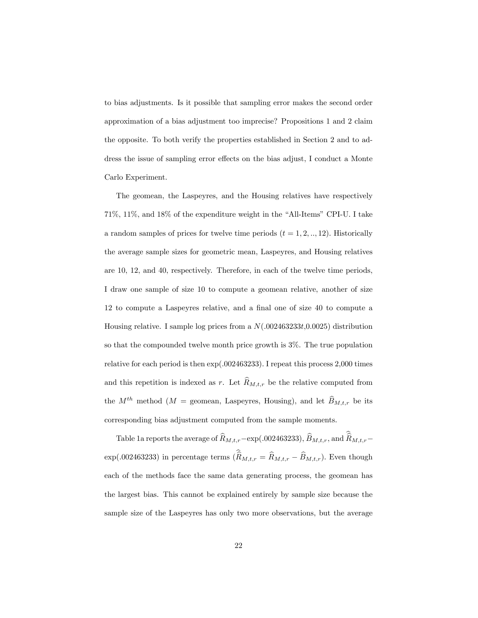to bias adjustments. Is it possible that sampling error makes the second order approximation of a bias adjustment too imprecise? Propositions 1 and 2 claim the opposite. To both verify the properties established in Section 2 and to address the issue of sampling error effects on the bias adjust, I conduct a Monte Carlo Experiment.

The geomean, the Laspeyres, and the Housing relatives have respectively  $71\%, 11\%,$  and  $18\%$  of the expenditure weight in the "All-Items" CPI-U. I take a random samples of prices for twelve time periods  $(t = 1, 2, \ldots, 12)$ . Historically the average sample sizes for geometric mean, Laspeyres, and Housing relatives are 10, 12, and 40, respectively. Therefore, in each of the twelve time periods, I draw one sample of size 10 to compute a geomean relative, another of size  $12$  to compute a Laspeyres relative, and a final one of size  $40$  to compute a Housing relative. I sample log prices from a  $N(.002463233t,0.0025)$  distribution so that the compounded twelve month price growth is 3%. The true population relative for each period is then exp(.002463233): I repeat this process 2,000 times and this repetition is indexed as r. Let  $\widehat{R}_{M,t,r}$  be the relative computed from the  $M^{th}$  method ( $M =$  geomean, Laspeyres, Housing), and let  $\widehat{B}_{M,t,r}$  be its corresponding bias adjustment computed from the sample moments.

Table 1a reports the average of  $\widehat R_{M,t,r}-\exp(.002463233),$   $\widehat B_{M,t,r},$  and  $\widehat{\widehat R}_{M,t,r}$ exp(.002463233) in percentage terms  $(\widehat{\widehat{R}}_{M,t,r} = \widehat{R}_{M,t,r} - \widehat{B}_{M,t,r})$ . Even though each of the methods face the same data generating process, the geomean has the largest bias. This cannot be explained entirely by sample size because the sample size of the Laspeyres has only two more observations, but the average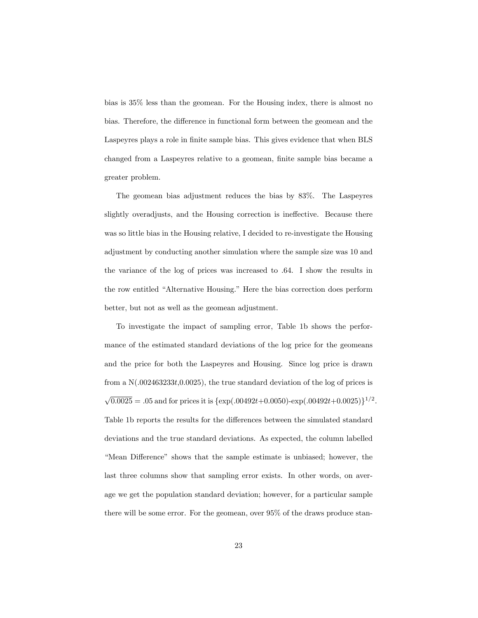bias is 35% less than the geomean. For the Housing index, there is almost no bias. Therefore, the difference in functional form between the geomean and the Laspeyres plays a role in Önite sample bias. This gives evidence that when BLS changed from a Laspeyres relative to a geomean, finite sample bias became a greater problem.

The geomean bias adjustment reduces the bias by 83%. The Laspeyres slightly overadjusts, and the Housing correction is ineffective. Because there was so little bias in the Housing relative, I decided to re-investigate the Housing adjustment by conducting another simulation where the sample size was 10 and the variance of the log of prices was increased to .64. I show the results in the row entitled "Alternative Housing." Here the bias correction does perform better, but not as well as the geomean adjustment.

To investigate the impact of sampling error, Table 1b shows the performance of the estimated standard deviations of the log price for the geomeans and the price for both the Laspeyres and Housing. Since log price is drawn from a  $N(.002463233t,0.0025)$ , the true standard deviation of the log of prices is  $\sqrt{0.0025} = .05$  and for prices it is  $\{\exp(.00492t + 0.0050) - \exp(.00492t + 0.0025)\}^{1/2}$ . Table 1b reports the results for the differences between the simulated standard deviations and the true standard deviations. As expected, the column labelled "Mean Difference" shows that the sample estimate is unbiased; however, the last three columns show that sampling error exists. In other words, on average we get the population standard deviation; however, for a particular sample there will be some error. For the geomean, over 95% of the draws produce stan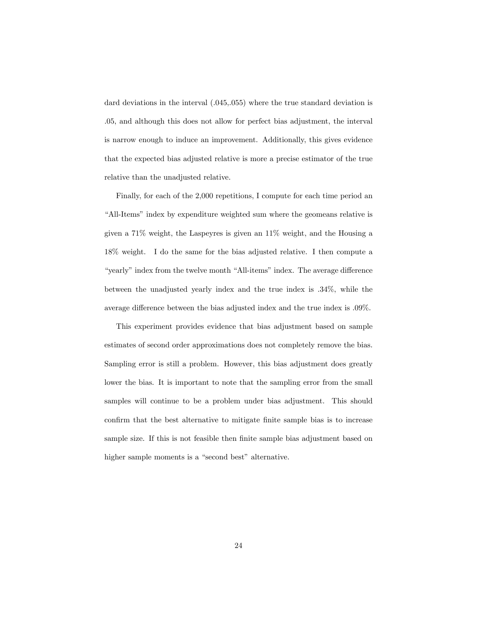dard deviations in the interval  $(.045, .055)$  where the true standard deviation is .05, and although this does not allow for perfect bias adjustment, the interval is narrow enough to induce an improvement. Additionally, this gives evidence that the expected bias adjusted relative is more a precise estimator of the true relative than the unadjusted relative.

Finally, for each of the 2,000 repetitions, I compute for each time period an "All-Items" index by expenditure weighted sum where the geomeans relative is given a 71% weight, the Laspeyres is given an 11% weight, and the Housing a 18% weight. I do the same for the bias adjusted relative. I then compute a "yearly" index from the twelve month "All-items" index. The average difference between the unadjusted yearly index and the true index is .34%, while the average difference between the bias adjusted index and the true index is  $.09\%$ .

This experiment provides evidence that bias adjustment based on sample estimates of second order approximations does not completely remove the bias. Sampling error is still a problem. However, this bias adjustment does greatly lower the bias. It is important to note that the sampling error from the small samples will continue to be a problem under bias adjustment. This should confirm that the best alternative to mitigate finite sample bias is to increase sample size. If this is not feasible then finite sample bias adjustment based on higher sample moments is a "second best" alternative.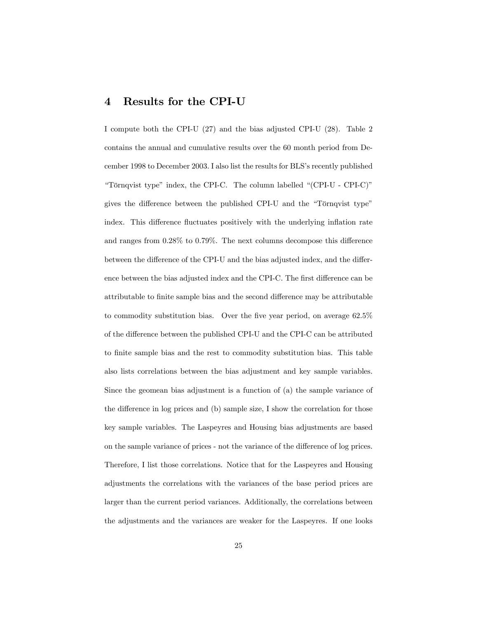### 4 Results for the CPI-U

I compute both the CPI-U (27) and the bias adjusted CPI-U (28). Table 2 contains the annual and cumulative results over the 60 month period from December 1998 to December 2003. I also list the results for BLS's recently published "Törnqvist type" index, the CPI-C. The column labelled  $"$ (CPI-U - CPI-C)" gives the difference between the published CPI-U and the "Törnqvist type" index. This difference fluctuates positively with the underlying inflation rate and ranges from  $0.28\%$  to  $0.79\%$ . The next columns decompose this difference between the difference of the CPI-U and the bias adjusted index, and the difference between the bias adjusted index and the CPI-C. The first difference can be attributable to finite sample bias and the second difference may be attributable to commodity substitution bias. Over the five year period, on average  $62.5\%$ of the difference between the published CPI-U and the CPI-C can be attributed to finite sample bias and the rest to commodity substitution bias. This table also lists correlations between the bias adjustment and key sample variables. Since the geomean bias adjustment is a function of (a) the sample variance of the difference in log prices and  $(b)$  sample size, I show the correlation for those key sample variables. The Laspeyres and Housing bias adjustments are based on the sample variance of prices - not the variance of the difference of log prices. Therefore, I list those correlations. Notice that for the Laspeyres and Housing adjustments the correlations with the variances of the base period prices are larger than the current period variances. Additionally, the correlations between the adjustments and the variances are weaker for the Laspeyres. If one looks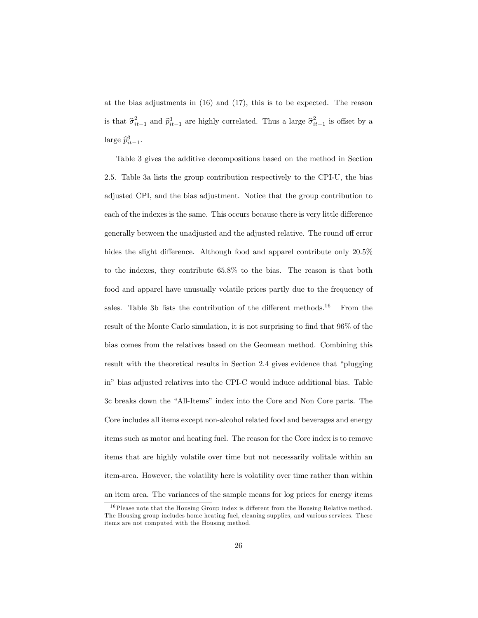at the bias adjustments in (16) and (17), this is to be expected. The reason is that  $\hat{\sigma}_{it-1}^2$  and  $\hat{p}_{it-1}^3$  are highly correlated. Thus a large  $\hat{\sigma}_{it-1}^2$  is offset by a large  $\widehat{p}_{it-1}^3$ .

Table 3 gives the additive decompositions based on the method in Section 2.5. Table 3a lists the group contribution respectively to the CPI-U, the bias adjusted CPI, and the bias adjustment. Notice that the group contribution to each of the indexes is the same. This occurs because there is very little difference generally between the unadjusted and the adjusted relative. The round off error hides the slight difference. Although food and apparel contribute only  $20.5\%$ to the indexes, they contribute 65.8% to the bias. The reason is that both food and apparel have unusually volatile prices partly due to the frequency of sales. Table 3b lists the contribution of the different methods.<sup>16</sup> From the result of the Monte Carlo simulation, it is not surprising to find that  $96\%$  of the bias comes from the relatives based on the Geomean method. Combining this result with the theoretical results in Section 2.4 gives evidence that "plugging inî bias adjusted relatives into the CPI-C would induce additional bias. Table 3c breaks down the "All-Items" index into the Core and Non Core parts. The Core includes all items except non-alcohol related food and beverages and energy items such as motor and heating fuel. The reason for the Core index is to remove items that are highly volatile over time but not necessarily volitale within an item-area. However, the volatility here is volatility over time rather than within an item area. The variances of the sample means for log prices for energy items

 $16$  Please note that the Housing Group index is different from the Housing Relative method. The Housing group includes home heating fuel, cleaning supplies, and various services. These items are not computed with the Housing method.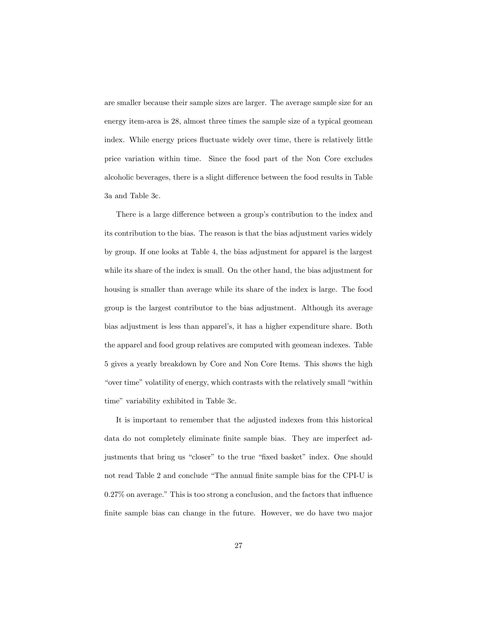are smaller because their sample sizes are larger. The average sample size for an energy item-area is 28, almost three times the sample size of a typical geomean index. While energy prices fluctuate widely over time, there is relatively little price variation within time. Since the food part of the Non Core excludes alcoholic beverages, there is a slight difference between the food results in Table 3a and Table 3c.

There is a large difference between a group's contribution to the index and its contribution to the bias. The reason is that the bias adjustment varies widely by group. If one looks at Table 4, the bias adjustment for apparel is the largest while its share of the index is small. On the other hand, the bias adjustment for housing is smaller than average while its share of the index is large. The food group is the largest contributor to the bias adjustment. Although its average bias adjustment is less than apparel's, it has a higher expenditure share. Both the apparel and food group relatives are computed with geomean indexes. Table 5 gives a yearly breakdown by Core and Non Core Items. This shows the high "over time" volatility of energy, which contrasts with the relatively small "within time" variability exhibited in Table 3c.

It is important to remember that the adjusted indexes from this historical data do not completely eliminate finite sample bias. They are imperfect adjustments that bring us "closer" to the true "fixed basket" index. One should not read Table 2 and conclude "The annual finite sample bias for the CPI-U is  $0.27\%$  on average." This is too strong a conclusion, and the factors that influence finite sample bias can change in the future. However, we do have two major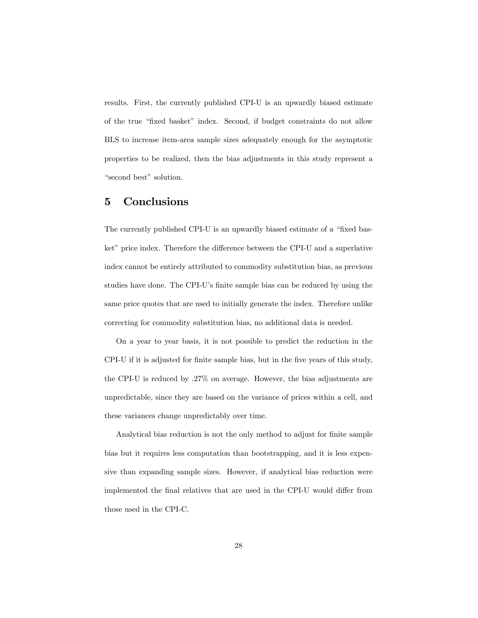results. First, the currently published CPI-U is an upwardly biased estimate of the true "fixed basket" index. Second, if budget constraints do not allow BLS to increase item-area sample sizes adequately enough for the asymptotic properties to be realized, then the bias adjustments in this study represent a "second best" solution.

# 5 Conclusions

The currently published CPI-U is an upwardly biased estimate of a "fixed basket" price index. Therefore the difference between the CPI-U and a superlative index cannot be entirely attributed to commodity substitution bias, as previous studies have done. The CPI-U's finite sample bias can be reduced by using the same price quotes that are used to initially generate the index. Therefore unlike correcting for commodity substitution bias, no additional data is needed.

On a year to year basis, it is not possible to predict the reduction in the CPI-U if it is adjusted for finite sample bias, but in the five years of this study, the CPI-U is reduced by .27% on average. However, the bias adjustments are unpredictable, since they are based on the variance of prices within a cell, and these variances change unpredictably over time.

Analytical bias reduction is not the only method to adjust for finite sample bias but it requires less computation than bootstrapping, and it is less expensive than expanding sample sizes. However, if analytical bias reduction were implemented the final relatives that are used in the CPI-U would differ from those used in the CPI-C.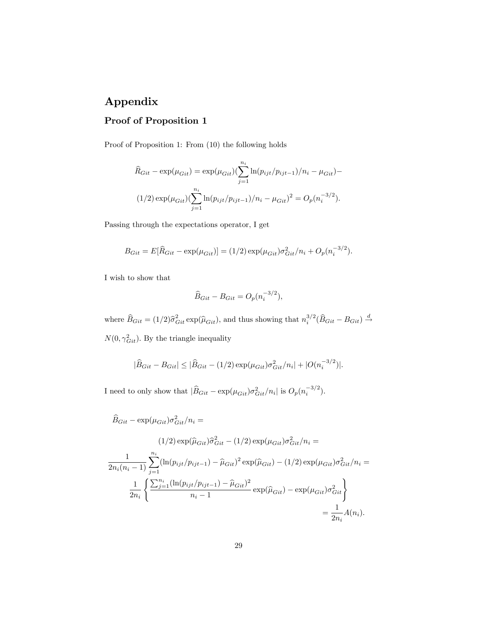# Appendix

# Proof of Proposition 1

Proof of Proposition 1: From (10) the following holds

$$
\widehat{R}_{Git} - \exp(\mu_{Git}) = \exp(\mu_{Git}) \left( \sum_{j=1}^{n_i} \ln(p_{ijt}/p_{ijt-1})/n_i - \mu_{Git} \right) -
$$
  
(1/2) 
$$
\exp(\mu_{Git}) \left( \sum_{j=1}^{n_i} \ln(p_{ijt}/p_{ijt-1})/n_i - \mu_{Git} \right)^2 = O_p(n_i^{-3/2}).
$$

Passing through the expectations operator, I get

$$
B_{Git} = E[\hat{R}_{Git} - \exp(\mu_{Git})] = (1/2) \exp(\mu_{Git}) \sigma_{Git}^2 / n_i + O_p(n_i^{-3/2}).
$$

I wish to show that

$$
\widehat{B}_{Git} - B_{Git} = O_p(n_i^{-3/2}),
$$

where  $\widehat{B}_{Git} = (1/2)\widehat{\sigma}_{Git}^2 \exp(\widehat{\mu}_{Git})$ , and thus showing that  $n_i^{3/2}(\widehat{B}_{Git} - B_{Git}) \stackrel{d}{\rightarrow}$  $N(0, \gamma_{Git}^2)$ . By the triangle inequality

$$
|\widehat{B}_{Git} - B_{Git}| \le |\widehat{B}_{Git} - (1/2) \exp(\mu_{Git}) \sigma_{Git}^2 / n_i| + |O(n_i^{-3/2})|.
$$

I need to only show that  $|\widehat{B}_{Git} - \exp(\mu_{Git})\sigma_{Git}^2/n_i|$  is  $O_p(n_i^{-3/2})$ .

$$
\hat{B}_{Git} - \exp(\mu_{Git})\sigma_{Git}^2/n_i =
$$
\n
$$
(1/2) \exp(\hat{\mu}_{Git})\hat{\sigma}_{Git}^2 - (1/2) \exp(\mu_{Git})\sigma_{Git}^2/n_i =
$$
\n
$$
\frac{1}{2n_i(n_i - 1)} \sum_{j=1}^{n_i} (\ln(p_{ijt}/p_{ijt-1}) - \hat{\mu}_{Git})^2 \exp(\hat{\mu}_{Git}) - (1/2) \exp(\mu_{Git})\sigma_{Git}^2/n_i =
$$
\n
$$
\frac{1}{2n_i} \left\{ \frac{\sum_{j=1}^{n_i} (\ln(p_{ijt}/p_{ijt-1}) - \hat{\mu}_{Git})^2}{n_i - 1} \exp(\hat{\mu}_{Git}) - \exp(\mu_{Git})\sigma_{Git}^2 \right\}
$$
\n
$$
= \frac{1}{2n_i} A(n_i).
$$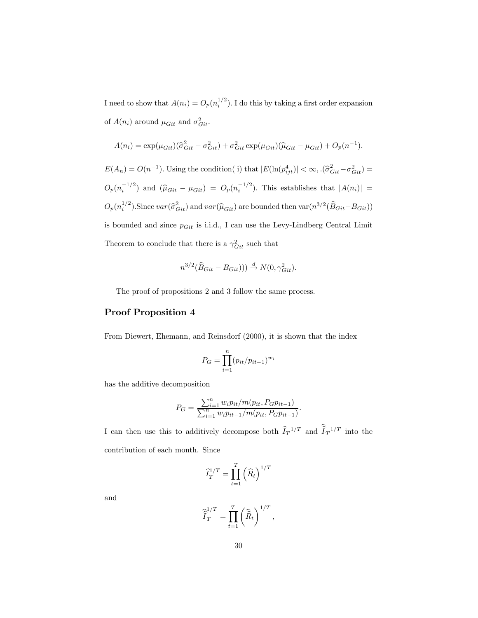I need to show that  $A(n_i) = O_p(n_i^{1/2})$ . I do this by taking a first order expansion of  $A(n_i)$  around  $\mu_{Git}$  and  $\sigma_{Git}^2$ .

$$
A(n_i) = \exp(\mu_{Git}) (\hat{\sigma}_{Git}^2 - \sigma_{Git}^2) + \sigma_{Git}^2 \exp(\mu_{Git}) (\hat{\mu}_{Git} - \mu_{Git}) + O_p(n^{-1}).
$$

 $E(A_n) = O(n^{-1})$ . Using the condition(i) that  $|E(\ln(p_{ijt}^4)| < \infty, .(\hat{\sigma}_{Git}^2 - \sigma_{Git}^2) =$  $O_p(n_i^{-1/2})$  and  $(\widehat{\mu}_{Git} - \mu_{Git}) = O_p(n_i^{-1/2})$ . This establishes that  $|A(n_i)| =$  $O_p(n_i^{1/2})$ . Since  $var(\hat{\sigma}_{Git}^2)$  and  $var(\hat{\mu}_{Git})$  are bounded then  $var(n^{3/2}(\hat{B}_{Git} - B_{Git}))$ is bounded and since  $p_{Git}$  is i.i.d., I can use the Levy-Lindberg Central Limit Theorem to conclude that there is a  $\gamma_{Git}^2$  such that

$$
n^{3/2}(\widehat{B}_{Git} - B_{Git}))) \stackrel{d}{\rightarrow} N(0, \gamma_{Git}^2).
$$

The proof of propositions 2 and 3 follow the same process.

#### Proof Proposition 4

From Diewert, Ehemann, and Reinsdorf (2000), it is shown that the index

$$
P_G = \prod_{i=1}^{n} (p_{it}/p_{it-1})^{w_i}
$$

has the additive decomposition

$$
P_G = \frac{\sum_{i=1}^n w_i p_{it} / m(p_{it}, P_G p_{it-1})}{\sum_{i=1}^n w_i p_{it-1} / m(p_{it}, P_G p_{it-1})}.
$$

I can then use this to additively decompose both  $\hat{I}_T^{-1/T}$  and  $\hat{I}_T^{-1/T}$  into the contribution of each month. Since

$$
\widehat{I}_T^{1/T} = \prod_{t=1}^T \left(\widehat{R}_t\right)^{1/T}
$$

and

$$
\widehat{\widehat{I}}_T^{1/T} = \prod_{t=1}^T \left(\widehat{\widehat{R}}_t\right)^{1/T},
$$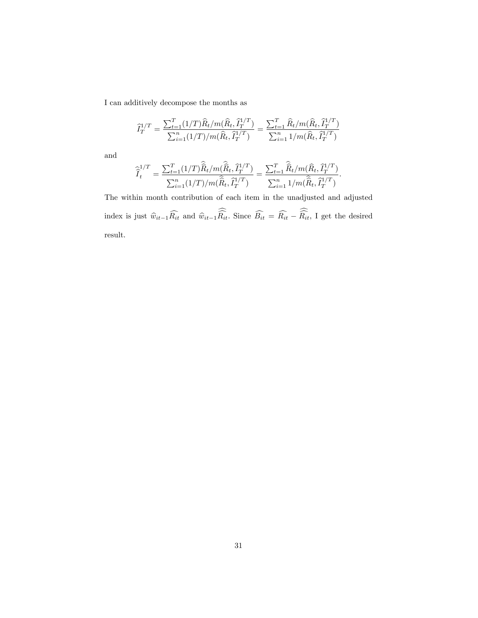I can additively decompose the months as

$$
\widehat{I}_T^{1/T} = \frac{\sum_{t=1}^T (1/T)\widehat{R}_t/m(\widehat{R}_t, \widehat{I}_T^{1/T})}{\sum_{i=1}^n (1/T)/m(\widehat{R}_t, \widehat{I}_T^{1/T})} = \frac{\sum_{t=1}^T \widehat{R}_t/m(\widehat{R}_t, \widehat{I}_T^{1/T})}{\sum_{i=1}^n 1/m(\widehat{R}_t, \widehat{I}_T^{1/T})}
$$

and

$$
\widehat{\hat{I}}_t^{1/T} = \frac{\sum_{t=1}^T (1/T)\widehat{\hat{R}}_t/m(\widehat{\hat{R}}_t, \widehat{I}_T^{1/T})}{\sum_{i=1}^n (1/T)/m(\widehat{\hat{R}}_t, \widehat{I}_T^{1/T})} = \frac{\sum_{t=1}^T \widehat{\hat{R}}_t/m(\widehat{R}_t, \widehat{I}_T^{1/T})}{\sum_{i=1}^n 1/m(\widehat{\hat{R}}_t, \widehat{I}_T^{1/T})}.
$$

The within month contribution of each item in the unadjusted and adjusted index is just  $\hat{w}_{it-1}R_{it}$  and  $\hat{w}_{it-1}R_{it}$ . Since  $B_{it} = R_{it} - R_{it}$ , I get the desired result.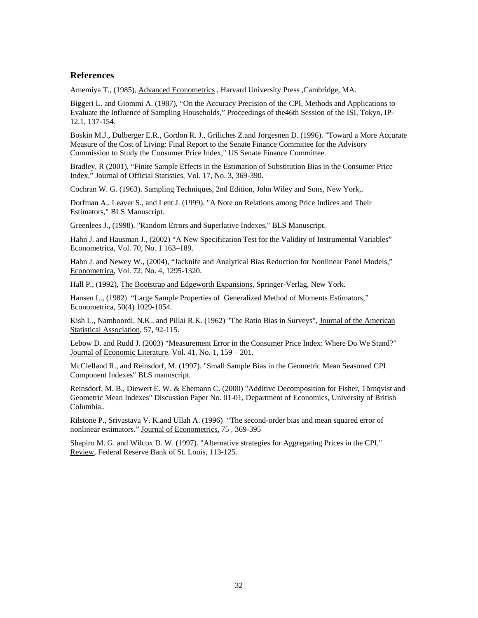#### **References**

Amemiya T., (1985), Advanced Econometrics, Harvard University Press, Cambridge, MA.

Biggeri L. and Giommi A. (1987), "On the Accuracy Precision of the CPI, Methods and Applications to Evaluate the Influence of Sampling Households," Proceedings of the46th Session of the ISI, Tokyo, IP-12.1, 137-154.

Boskin M.J., Dulberger E.R., Gordon R. J., Griliches Z.and Jorgesnen D. (1996). "Toward a More Accurate Measure of the Cost of Living: Final Report to the Senate Finance Committee for the Advisory Commission to Study the Consumer Price Index," US Senate Finance Committee.

Bradley, R (2001), "Finite Sample Effects in the Estimation of Substitution Bias in the Consumer Price Index," Journal of Official Statistics, Vol. 17, No. 3, 369-390.

Cochran W. G. (1963). Sampling Techniques, 2nd Edition, John Wiley and Sons, New York,.

Dorfman A., Leaver S., and Lent J. (1999). "A Note on Relations among Price Indices and Their Estimators," BLS Manuscript.

Greenlees J., (1998). "Random Errors and Superlative Indexes," BLS Manuscript.

Hahn J. and Hausman J., (2002) "A New Specification Test for the Validity of Instrumental Variables" Econometrica, Vol. 70, No. 1 163–189.

Hahn J. and Newey W., (2004), "Jacknife and Analytical Bias Reduction for Nonlinear Panel Models," Econometrica, Vol. 72, No. 4, 1295-1320.

Hall P., (1992), The Bootstrap and Edgeworth Expansions, Springer-Verlag, New York.

Hansen L., (1982) "Large Sample Properties of Generalized Method of Moments Estimators," Econometrica, 50(4) 1029-1054.

Kish L., Namboordi, N.K., and Pillai R.K. (1962) "The Ratio Bias in Surveys", Journal of the American Statistical Association, 57, 92-115.

Lebow D. and Rudd J. (2003) "Measurement Error in the Consumer Price Index: Where Do We Stand?" Journal of Economic Literature. Vol. 41, No. 1, 159 – 201.

McClelland R., and Reinsdorf, M. (1997). "Small Sample Bias in the Geometric Mean Seasoned CPI Component Indexes" BLS manuscript.

Reinsdorf, M. B., Diewert E. W. & Ehemann C. (2000) "Additive Decomposition for Fisher, Törnqvist and Geometric Mean Indexes" Discussion Paper No. 01-01, Department of Economics, University of British Columbia..

Rilstone P., Srivastava V. K.and Ullah A. (1996) "The second-order bias and mean squared error of nonlinear estimators." Journal of Econometrics, 75 , 369-395

Shapiro M. G. and Wilcox D. W. (1997). "Alternative strategies for Aggregating Prices in the CPI," Review, Federal Reserve Bank of St. Louis, 113-125.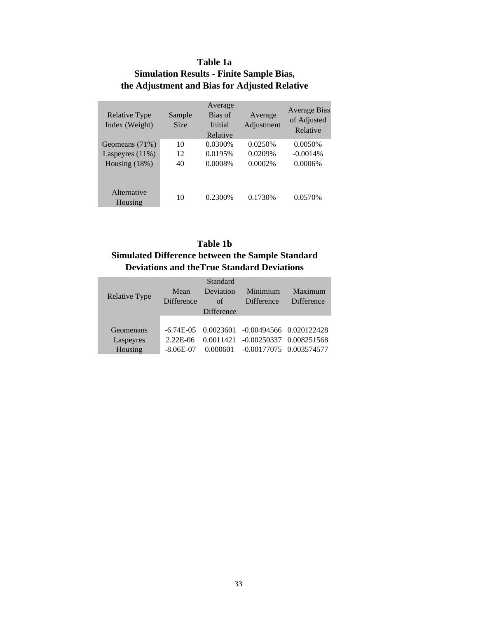### **Table 1a**

# **Simulation Results - Finite Sample Bias, the Adjustment and Bias for Adjusted Relative**

| <b>Relative Type</b><br>Index (Weight) | Sample<br><b>Size</b> | Average<br>Bias of<br>Initial<br>Relative | Average<br>Adjustment | Average Bias<br>of Adjusted<br>Relative |
|----------------------------------------|-----------------------|-------------------------------------------|-----------------------|-----------------------------------------|
| Geomeans (71%)                         | 10                    | 0.0300%                                   | 0.0250\%              | 0.0050%                                 |
| Laspeyres $(11%)$                      | 12                    | 0.0195%                                   | 0.0209%               | $-0.0014%$                              |
| Housing $(18%)$                        | 40                    | 0.0008%                                   | 0.0002%               | 0.0006%                                 |
| Alternative<br>Housing                 | 10                    | 0.2300\%                                  | 0.1730\%              | 0.0570%                                 |

# **Table 1b**

# **Simulated Difference between the Sample Standard Deviations and theTrue Standard Deviations**

|                      |                   | Standard          |                                                     |                   |
|----------------------|-------------------|-------------------|-----------------------------------------------------|-------------------|
|                      | Mean              | Deviation         | Minimium                                            | Maximum           |
| <b>Relative Type</b> | <b>Difference</b> | of                | <b>Difference</b>                                   | <b>Difference</b> |
|                      |                   | <b>Difference</b> |                                                     |                   |
|                      |                   |                   |                                                     |                   |
| Geomenans            |                   |                   | $-6.74E-05$ $0.0023601$ $-0.00494566$ $0.020122428$ |                   |
| Laspeyres            | 2.22E-06          |                   | 0.0011421 -0.00250337 0.008251568                   |                   |
| Housing              | $-8.06E-07$       | 0.000601          | $-0.00177075$ 0.003574577                           |                   |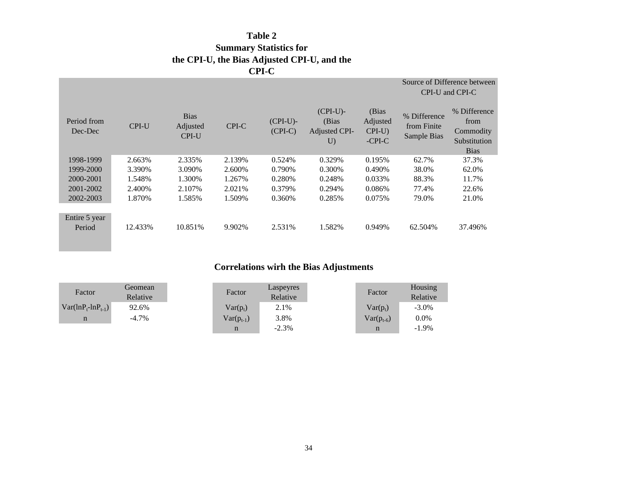# **Table 2 Summary Statistics for the CPI-U, the Bias Adjusted CPI-U, and the CPI-C**

|                         |              |                                         |        | .                        |                                            |                                               |                                            |                                                                  |
|-------------------------|--------------|-----------------------------------------|--------|--------------------------|--------------------------------------------|-----------------------------------------------|--------------------------------------------|------------------------------------------------------------------|
|                         |              |                                         |        |                          |                                            |                                               |                                            | Source of Difference between<br>CPI-U and CPI-C                  |
| Period from<br>Dec-Dec  | <b>CPI-U</b> | <b>Bias</b><br>Adjusted<br><b>CPI-U</b> | CPI-C  | $(CPI-U)$ -<br>$(CPI-C)$ | $(CPI-U)$ -<br>(Bias<br>Adjusted CPI-<br>U | (Bias<br>Adjusted<br>$CPI-U$<br>$-$ CPI $-$ C | % Difference<br>from Finite<br>Sample Bias | % Difference<br>from<br>Commodity<br>Substitution<br><b>Bias</b> |
| 1998-1999               | 2.663%       | 2.335%                                  | 2.139% | 0.524%                   | 0.329%                                     | 0.195%                                        | 62.7%                                      | 37.3%                                                            |
| 1999-2000               | 3.390%       | 3.090%                                  | 2.600% | 0.790%                   | 0.300%                                     | 0.490%                                        | 38.0%                                      | 62.0%                                                            |
| 2000-2001               | 1.548%       | 1.300%                                  | 1.267% | 0.280%                   | 0.248%                                     | 0.033%                                        | 88.3%                                      | 11.7%                                                            |
| 2001-2002               | 2.400\%      | 2.107%                                  | 2.021% | 0.379%                   | 0.294%                                     | 0.086%                                        | 77.4%                                      | 22.6%                                                            |
| 2002-2003               | 1.870%       | 1.585%                                  | 1.509% | 0.360%                   | 0.285%                                     | 0.075%                                        | 79.0%                                      | 21.0%                                                            |
| Entire 5 year<br>Period | 12.433%      | 10.851%                                 | 9.902% | 2.531%                   | 1.582%                                     | 0.949%                                        | 62.504%                                    | 37.496%                                                          |
|                         |              |                                         |        |                          |                                            |                                               |                                            |                                                                  |

# **Correlations wirh the Bias Adjustments**

| Factor                     | Geomean<br>Relative | Factor         | Laspeyres<br>Relative | Factor         | Housing<br>Relative |
|----------------------------|---------------------|----------------|-----------------------|----------------|---------------------|
| $Var(lnP_{t} - lnP_{t-1})$ | 92.6%               | $Var(p_t)$     | 2.1%                  | $Var(p_t)$     | $-3.0\%$            |
| n                          | $-4.7\%$            | $Var(p_{t-1})$ | 3.8%                  | $Var(p_{t-6})$ | $0.0\%$             |
|                            |                     | n              | $-2.3%$               | n              | $-1.9\%$            |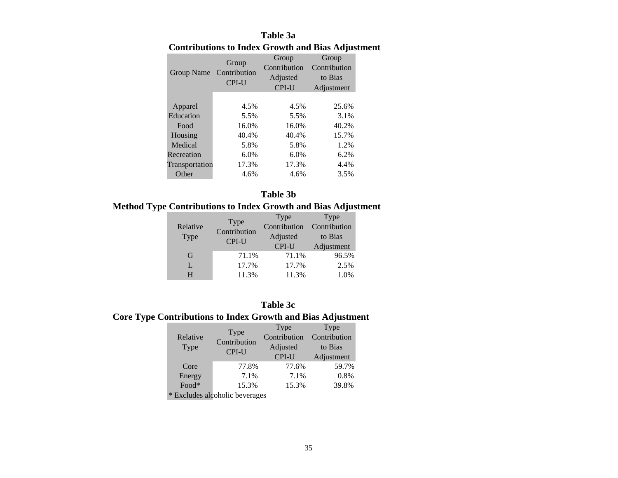# **Table 3a Contributions to Index Growth and Bias Adjustment**

| Group Name Contribution | Group<br><b>CPI-U</b> | Group<br>Contribution<br>Adjusted<br><b>CPI-U</b> | Group<br>Contribution<br>to Bias<br>Adjustment |
|-------------------------|-----------------------|---------------------------------------------------|------------------------------------------------|
| Apparel                 | 4.5%                  | 4.5%                                              | 25.6%                                          |
| Education               | 5.5%                  | 5.5%                                              | 3.1%                                           |
| Food                    | 16.0%                 | 16.0%                                             | 40.2%                                          |
| Housing                 | 40.4%                 | 40.4%                                             | 15.7%                                          |
| Medical                 | 5.8%                  | 5.8%                                              | 1.2%                                           |
| Recreation              | 6.0%                  | 6.0%                                              | 6.2%                                           |
| Transportation          | 17.3%                 | 17.3%                                             | 4.4%                                           |
| Other                   | 4.6%                  | 4.6%                                              | 3.5%                                           |

#### **Table 3b**

# **Method Type Contributions to Index Growth and Bias Adjustment**

|          | Type         | Type         | Type         |
|----------|--------------|--------------|--------------|
| Relative | Contribution | Contribution | Contribution |
| Type     | CPI-U        | Adjusted     | to Bias      |
|          |              | CPI-U        | Adjustment   |
| G        | 71.1%        | 71.1%        | 96.5%        |
| L        | 17.7%        | 17.7%        | 2.5%         |
| н        | 11.3%        | 11.3%        | 1.0%         |

#### **Table 3c**

# **Core Type Contributions to Index Growth and Bias Adjustment**

|          |                      | Type         | Type         |
|----------|----------------------|--------------|--------------|
| Relative | Type<br>Contribution | Contribution | Contribution |
| Type     |                      | Adjusted     | to Bias      |
|          | CPI-U                | CPI-U        | Adjustment   |
| Core     | 77.8%                | 77.6%        | 59.7%        |
| Energy   | 7.1%                 | 7.1%         | 0.8%         |
| Food*    | 15.3%                | 15.3%        | 39.8%        |

\* Excludes alcoholic beverages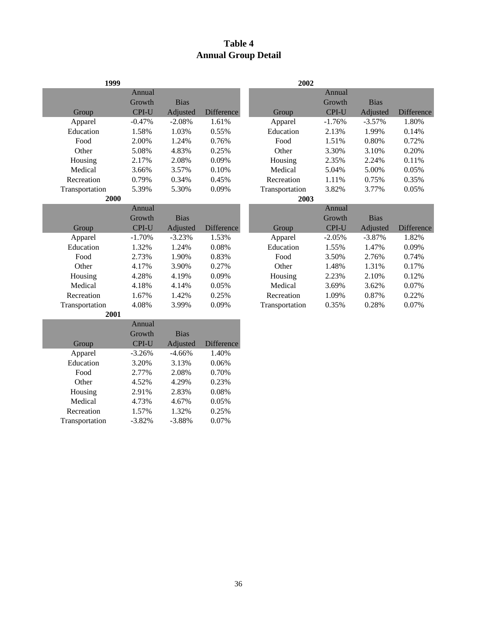# **Table 4 Annual Group Detail**

| 1999           |          |             |                   | 2002           |          |             |            |
|----------------|----------|-------------|-------------------|----------------|----------|-------------|------------|
|                | Annual   |             |                   |                | Annual   |             |            |
|                | Growth   | <b>Bias</b> |                   |                | Growth   | <b>Bias</b> |            |
| Group          | CPI-U    | Adjusted    | Difference        | Group          | CPI-U    | Adjusted    | Difference |
| Apparel        | $-0.47%$ | $-2.08%$    | 1.61%             | Apparel        | $-1.76%$ | $-3.57%$    | 1.80%      |
| Education      | 1.58%    | 1.03%       | 0.55%             | Education      | 2.13%    | 1.99%       | 0.14%      |
| Food           | 2.00%    | 1.24%       | 0.76%             | Food           | 1.51%    | 0.80%       | 0.72%      |
| Other          | 5.08%    | 4.83%       | 0.25%             | Other          | 3.30%    | 3.10%       | 0.20%      |
| Housing        | 2.17%    | 2.08%       | 0.09%             | Housing        | 2.35%    | 2.24%       | 0.11%      |
| Medical        | 3.66%    | 3.57%       | 0.10%             | Medical        | 5.04%    | 5.00%       | 0.05%      |
| Recreation     | 0.79%    | 0.34%       | 0.45%             | Recreation     | 1.11%    | 0.75%       | 0.35%      |
| Transportation | 5.39%    | 5.30%       | 0.09%             | Transportation | 3.82%    | 3.77%       | 0.05%      |
| 2000           |          |             |                   | 2003           |          |             |            |
|                | Annual   |             |                   |                | Annual   |             |            |
|                | Growth   | <b>Bias</b> |                   |                | Growth   | <b>Bias</b> |            |
| Group          | CPI-U    | Adjusted    | <b>Difference</b> | Group          | CPI-U    | Adjusted    | Difference |
| Apparel        | $-1.70%$ | $-3.23%$    | 1.53%             | Apparel        | $-2.05%$ | $-3.87%$    | 1.82%      |
| Education      | 1.32%    | 1.24%       | 0.08%             | Education      | 1.55%    | 1.47%       | 0.09%      |
| Food           | 2.73%    | 1.90%       | 0.83%             | Food           | 3.50%    | 2.76%       | 0.74%      |
| Other          | 4.17%    | 3.90%       | 0.27%             | Other          | 1.48%    | 1.31%       | 0.17%      |
| Housing        | 4.28%    | 4.19%       | 0.09%             | Housing        | 2.23%    | 2.10%       | 0.12%      |
| Medical        | 4.18%    | 4.14%       | 0.05%             | Medical        | 3.69%    | 3.62%       | 0.07%      |
| Recreation     | 1.67%    | 1.42%       | 0.25%             | Recreation     | 1.09%    | 0.87%       | 0.22%      |
| Transportation | 4.08%    | 3.99%       | 0.09%             | Transportation | 0.35%    | 0.28%       | 0.07%      |
| 2001           |          |             |                   |                |          |             |            |
|                | Annual   |             |                   |                |          |             |            |
|                | Growth   | <b>Bias</b> |                   |                |          |             |            |
| Group          | CPI-U    | Adjusted    | Difference        |                |          |             |            |
| Apparel        | $-3.26%$ | $-4.66%$    | 1.40%             |                |          |             |            |
| Education      | 3.20%    | 3.13%       | 0.06%             |                |          |             |            |
| Food           | 2.77%    | 2.08%       | 0.70%             |                |          |             |            |
| Other          | 4.52%    | 4.29%       | 0.23%             |                |          |             |            |
| Housing        | 2.91%    | 2.83%       | 0.08%             |                |          |             |            |

Housing 2.91% 2.83% 0.08%<br>Medical 4.73% 4.67% 0.05%

Recreation 1.57% 1.32% 0.25%<br>
ransportation -3.82% -3.88% 0.07%

Transportation -3.82% -3.88%

Medical